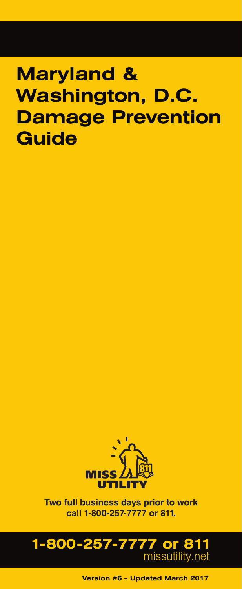# **Maryland & Washington, D.C. Damage Prevention Guide**



Two full business days prior to work call 1-800-257-7777 or 811.

**1-800-257-7777 or 811** missutility.net

**Version #6 – Updated March 2017**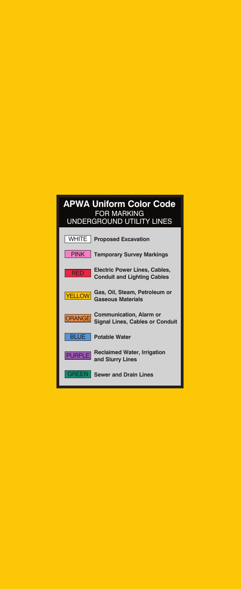#### **APWA Uniform Color Code** FOR MARKING UNDERGROUND UTILITY LINES

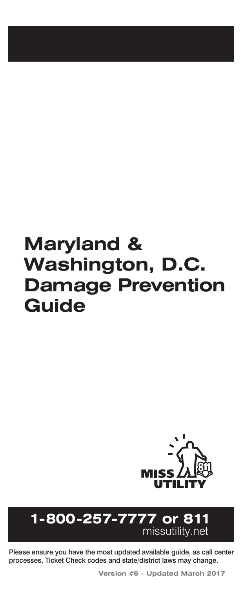# **Maryland & Washington, D.C. Damage Prevention Guide**





Please ensure you have the most updated available guide, as call center processes, Ticket Check codes and state/district laws may change.

**Version #6 – Updated March 2017**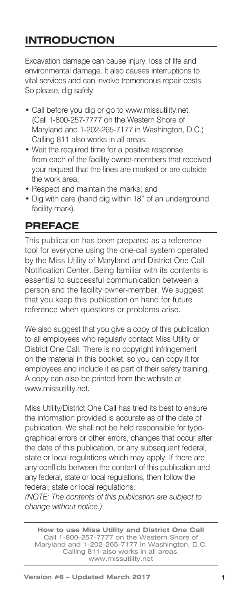### **INTRODUCTION**

Excavation damage can cause injury, loss of life and environmental damage. It also causes interruptions to vital services and can involve tremendous repair costs. So please, dig safely:

- Call before you dig or go to www.missutility.net. (Call 1-800-257-7777 on the Western Shore of Maryland and 1-202-265-7177 in Washington, D.C.) Calling 811 also works in all areas;
- Wait the required time for a positive response from each of the facility owner-members that received your request that the lines are marked or are outside the work area;
- Respect and maintain the marks; and
- Dig with care (hand dig within 18" of an underground facility mark).

### **PREFACE**

This publication has been prepared as a reference tool for everyone using the one-call system operated by the Miss Utility of Maryland and District One Call Notification Center. Being familiar with its contents is essential to successful communication between a person and the facility owner-member. We suggest that you keep this publication on hand for future reference when questions or problems arise.

We also suggest that you give a copy of this publication to all employees who regularly contact Miss Utility or District One Call. There is no copyright infringement on the material in this booklet, so you can copy it for employees and include it as part of their safety training. A copy can also be printed from the website at www.missutility.net.

Miss Utility/District One Call has tried its best to ensure the information provided is accurate as of the date of publication. We shall not be held responsible for typographical errors or other errors, changes that occur after the date of this publication, or any subsequent federal, state or local regulations which may apply. If there are any conflicts between the content of this publication and any federal, state or local regulations, then follow the federal, state or local regulations.

*(NOTE: The contents of this publication are subject to change without notice.)*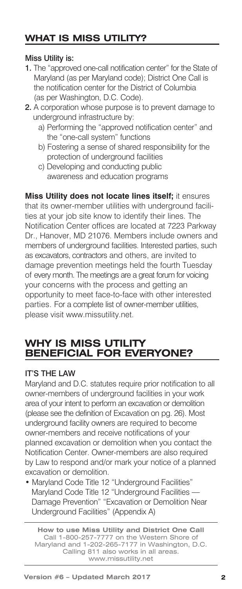### **WHAT IS MISS UTILITY?**

#### Miss Utility is:

- 1. The "approved one-call notification center" for the State of Maryland (as per Maryland code); District One Call is the notification center for the District of Columbia (as per Washington, D.C. Code).
- 2. A corporation whose purpose is to prevent damage to underground infrastructure by:
	- a) Performing the "approved notification center" and the "one-call system" functions
	- b) Fostering a sense of shared responsibility for the protection of underground facilities
	- c) Developing and conducting public awareness and education programs

**Miss Utility does not locate lines itself;** it ensures that its owner-member utilities with underground facilities at your job site know to identify their lines. The Notification Center offices are located at 7223 Parkway Dr., Hanover, MD 21076. Members include owners and members of underground facilities. Interested parties, such as excavators, contractors and others, are invited to damage prevention meetings held the fourth Tuesday of every month. The meetings are a great forum for voicing your concerns with the process and getting an opportunity to meet face-to-face with other interested parties. For a complete list of owner-member utilities, please visit www.missutility.net.

### **WHY IS MISS UTILITY BENEFICIAL FOR EVERYONE?**

#### IT'S THE LAW

Maryland and D.C. statutes require prior notification to all owner-members of underground facilities in your work area of your intent to perform an excavation or demolition (please see the definition of Excavation on pg. 26). Most underground facility owners are required to become owner-members and receive notifications of your planned excavation or demolition when you contact the Notification Center. Owner-members are also required by Law to respond and/or mark your notice of a planned excavation or demolition.

• Maryland Code Title 12 "Underground Facilities" Maryland Code Title 12 "Underground Facilities — Damage Prevention" "Excavation or Demolition Near Underground Facilities" (Appendix A)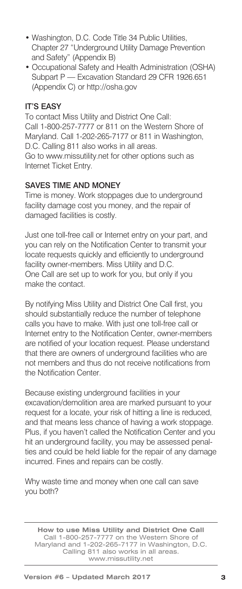- Washington, D.C. Code Title 34 Public Utilities, Chapter 27 "Underground Utility Damage Prevention and Safety" (Appendix B)
- Occupational Safety and Health Administration (OSHA) Subpart P — Excavation Standard 29 CFR 1926.651 (Appendix C) or http://osha.gov

### IT'S EASY

To contact Miss Utility and District One Call: Call 1-800-257-7777 or 811 on the Western Shore of Maryland. Call 1-202-265-7177 or 811 in Washington, D.C. Calling 811 also works in all areas. Go to www.missutility.net for other options such as Internet Ticket Entry.

#### SAVES TIME AND MONEY

Time is money. Work stoppages due to underground facility damage cost you money, and the repair of damaged facilities is costly.

Just one toll-free call or Internet entry on your part, and you can rely on the Notification Center to transmit your locate requests quickly and efficiently to underground facility owner-members. Miss Utility and D.C. One Call are set up to work for you, but only if you make the contact.

By notifying Miss Utility and District One Call first, you should substantially reduce the number of telephone calls you have to make. With just one toll-free call or Internet entry to the Notification Center, owner-members are notified of your location request. Please understand that there are owners of underground facilities who are not members and thus do not receive notifications from the Notification Center.

Because existing underground facilities in your excavation/demolition area are marked pursuant to your request for a locate, your risk of hitting a line is reduced, and that means less chance of having a work stoppage. Plus, if you haven't called the Notification Center and you hit an underground facility, you may be assessed penalties and could be held liable for the repair of any damage incurred. Fines and repairs can be costly.

Why waste time and money when one call can save you both?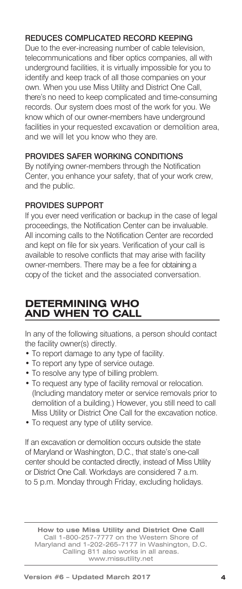### REDUCES COMPLICATED RECORD KEEPING

Due to the ever-increasing number of cable television, telecommunications and fiber optics companies, all with underground facilities, it is virtually impossible for you to identify and keep track of all those companies on your own. When you use Miss Utility and District One Call, there's no need to keep complicated and time-consuming records. Our system does most of the work for you. We know which of our owner-members have underground facilities in your requested excavation or demolition area, and we will let you know who they are.

### PROVIDES SAFER WORKING CONDITIONS

By notifying owner-members through the Notification Center, you enhance your safety, that of your work crew, and the public.

#### PROVIDES SUPPORT

If you ever need verification or backup in the case of legal proceedings, the Notification Center can be invaluable. All incoming calls to the Notification Center are recorded and kept on file for six years. Verification of your call is available to resolve conflicts that may arise with facility owner-members. There may be a fee for obtaining a copy of the ticket and the associated conversation.

### **DETERMINING WHO AND WHEN TO CALL**

In any of the following situations, a person should contact the facility owner(s) directly.

- To report damage to any type of facility.
- To report any type of service outage.
- To resolve any type of billing problem.
- To request any type of facility removal or relocation. (Including mandatory meter or service removals prior to demolition of a building.) However, you still need to call Miss Utility or District One Call for the excavation notice.
- To request any type of utility service.

If an excavation or demolition occurs outside the state of Maryland or Washington, D.C., that state's one-call center should be contacted directly, instead of Miss Utility or District One Call. Workdays are considered 7 a.m. to 5 p.m. Monday through Friday, excluding holidays.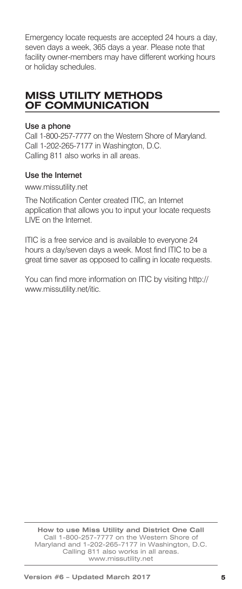Emergency locate requests are accepted 24 hours a day, seven days a week, 365 days a year. Please note that facility owner-members may have different working hours or holiday schedules.

### **MISS UTILITY METHODS OF COMMUNICATION**

#### Use a phone

Call 1-800-257-7777 on the Western Shore of Maryland. Call 1-202-265-7177 in Washington, D.C. Calling 811 also works in all areas.

#### Use the Internet

www.missutility.net

The Notification Center created ITIC, an Internet application that allows you to input your locate requests LIVE on the Internet.

ITIC is a free service and is available to everyone 24 hours a day/seven days a week. Most find ITIC to be a great time saver as opposed to calling in locate requests.

You can find more information on ITIC by visiting http:// www.missutility.net/itic.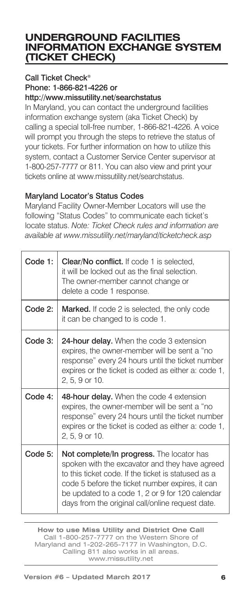### **UNDERGROUND FACILITIES INFORMATION EXCHANGE SYSTEM (TICKET CHECK)**

### Call Ticket Check® Phone: 1-866-821-4226 or

http://www.missutility.net/searchstatus

In Maryland, you can contact the underground facilities information exchange system (aka Ticket Check) by calling a special toll-free number, 1-866-821-4226. A voice will prompt you through the steps to retrieve the status of your tickets. For further information on how to utilize this system, contact a Customer Service Center supervisor at 1-800-257-7777 or 811. You can also view and print your tickets online at www.missutility.net/searchstatus.

### Maryland Locator's Status Codes

Maryland Facility Owner-Member Locators will use the following "Status Codes" to communicate each ticket's locate status. *Note: Ticket Check rules and information are available at www.missutility.net/maryland/ticketcheck.asp*

| Code 1: | Clear/No conflict. If code 1 is selected,<br>it will be locked out as the final selection.<br>The owner-member cannot change or<br>delete a code 1 response.                                                                                                                                                 |
|---------|--------------------------------------------------------------------------------------------------------------------------------------------------------------------------------------------------------------------------------------------------------------------------------------------------------------|
| Code 2: | <b>Marked.</b> If code 2 is selected, the only code<br>it can be changed to is code 1.                                                                                                                                                                                                                       |
| Code 3: | <b>24-hour delay.</b> When the code 3 extension<br>expires, the owner-member will be sent a "no<br>response" every 24 hours until the ticket number<br>expires or the ticket is coded as either a: code 1,<br>2, 5, 9 or 10.                                                                                 |
| Code 4: | 48-hour delay. When the code 4 extension<br>expires, the owner-member will be sent a "no<br>response" every 24 hours until the ticket number<br>expires or the ticket is coded as either a: code 1,<br>2, 5, 9 or 10.                                                                                        |
| Code 5: | Not complete/In progress. The locator has<br>spoken with the excavator and they have agreed<br>to this ticket code. If the ticket is statused as a<br>code 5 before the ticket number expires, it can<br>be updated to a code 1, 2 or 9 for 120 calendar<br>days from the original call/online request date. |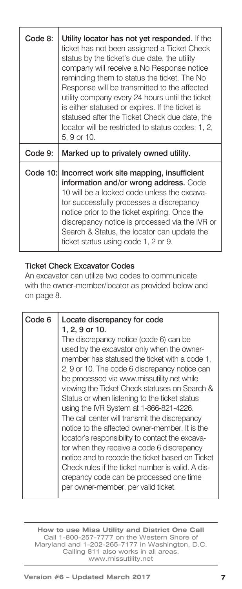| Code 8: | Utility locator has not yet responded. If the<br>ticket has not been assigned a Ticket Check<br>status by the ticket's due date, the utility<br>company will receive a No Response notice<br>reminding them to status the ticket. The No<br>Response will be transmitted to the affected<br>utility company every 24 hours until the ticket<br>is either statused or expires. If the ticket is<br>statused after the Ticket Check due date, the<br>locator will be restricted to status codes; 1, 2,<br>5, 9 or 10. |
|---------|---------------------------------------------------------------------------------------------------------------------------------------------------------------------------------------------------------------------------------------------------------------------------------------------------------------------------------------------------------------------------------------------------------------------------------------------------------------------------------------------------------------------|
| Code 9: | Marked up to privately owned utility.                                                                                                                                                                                                                                                                                                                                                                                                                                                                               |
|         | Code 10: Incorrect work site mapping, insufficient<br>information and/or wrong address. Code<br>10 will be a locked code unless the excava-<br>tor successfully processes a discrepancy<br>notice prior to the ticket expiring. Once the<br>discrepancy notice is processed via the IVR or<br>Search & Status, the locator can update the<br>ticket status using code 1, 2 or 9.                                                                                                                                    |

#### Ticket Check Excavator Codes

An excavator can utilize two codes to communicate with the owner-member/locator as provided below and on page 8.

| The discrepancy notice (code 6) can be<br>used by the excavator only when the owner-<br>member has statused the ticket with a code 1,<br>2, 9 or 10. The code 6 discrepancy notice can<br>be processed via www.missutility.net while<br>viewing the Ticket Check statuses on Search &<br>Status or when listening to the ticket status<br>using the IVR System at 1-866-821-4226.<br>The call center will transmit the discrepancy<br>notice to the affected owner-member. It is the<br>locator's responsibility to contact the excava-<br>tor when they receive a code 6 discrepancy<br>notice and to recode the ticket based on Ticket<br>Check rules if the ticket number is valid. A dis-<br>crepancy code can be processed one time<br>per owner-member, per valid ticket. | Code 6<br>Locate discrepancy for code<br>1, 2, 9 or 10. |
|---------------------------------------------------------------------------------------------------------------------------------------------------------------------------------------------------------------------------------------------------------------------------------------------------------------------------------------------------------------------------------------------------------------------------------------------------------------------------------------------------------------------------------------------------------------------------------------------------------------------------------------------------------------------------------------------------------------------------------------------------------------------------------|---------------------------------------------------------|
|---------------------------------------------------------------------------------------------------------------------------------------------------------------------------------------------------------------------------------------------------------------------------------------------------------------------------------------------------------------------------------------------------------------------------------------------------------------------------------------------------------------------------------------------------------------------------------------------------------------------------------------------------------------------------------------------------------------------------------------------------------------------------------|---------------------------------------------------------|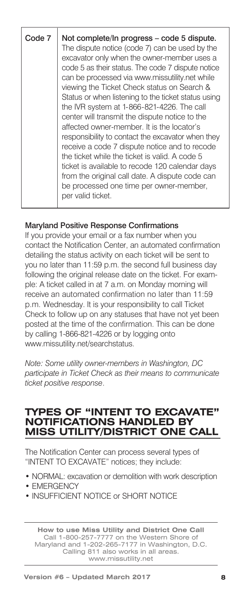| Code <sub>7</sub> | Not complete/In progress – code 5 dispute.<br>The dispute notice (code 7) can be used by the<br>excavator only when the owner-member uses a<br>code 5 as their status. The code 7 dispute notice<br>can be processed via www.missutility.net while<br>viewing the Ticket Check status on Search &<br>Status or when listening to the ticket status using<br>the IVR system at 1-866-821-4226. The call<br>center will transmit the dispute notice to the<br>affected owner-member. It is the locator's<br>responsibility to contact the excavator when they<br>receive a code 7 dispute notice and to recode<br>the ticket while the ticket is valid. A code 5<br>ticket is available to recode 120 calendar days<br>from the original call date. A dispute code can<br>be processed one time per owner-member, |
|-------------------|-----------------------------------------------------------------------------------------------------------------------------------------------------------------------------------------------------------------------------------------------------------------------------------------------------------------------------------------------------------------------------------------------------------------------------------------------------------------------------------------------------------------------------------------------------------------------------------------------------------------------------------------------------------------------------------------------------------------------------------------------------------------------------------------------------------------|
|                   | per valid ticket.                                                                                                                                                                                                                                                                                                                                                                                                                                                                                                                                                                                                                                                                                                                                                                                               |

#### Maryland Positive Response Confirmations

If you provide your email or a fax number when you contact the Notification Center, an automated confirmation detailing the status activity on each ticket will be sent to you no later than 11:59 p.m. the second full business day following the original release date on the ticket. For example: A ticket called in at 7 a.m. on Monday morning will receive an automated confirmation no later than 11:59 p.m. Wednesday. It is your responsibility to call Ticket Check to follow up on any statuses that have not yet been posted at the time of the confirmation. This can be done by calling 1-866-821-4226 or by logging onto www.missutility.net/searchstatus.

*Note: Some utility owner-members in Washington, DC participate in Ticket Check as their means to communicate ticket positive response*.

### **TYPES OF "INTENT TO EXCAVATE" NOTIFICATIONS HANDLED BY MISS UTILITY/DISTRICT ONE CALL**

The Notification Center can process several types of "INTENT TO EXCAVATE" notices; they include:

- NORMAL: excavation or demolition with work description
- EMERGENCY
- INSUFFICIENT NOTICE or SHORT NOTICE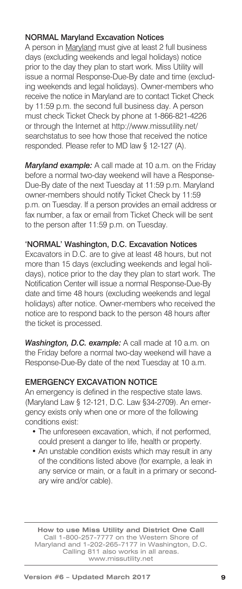#### NORMAL Maryland Excavation Notices

A person in Maryland must give at least 2 full business days (excluding weekends and legal holidays) notice prior to the day they plan to start work. Miss Utility will issue a normal Response-Due-By date and time (excluding weekends and legal holidays). Owner-members who receive the notice in Maryland are to contact Ticket Check by 11:59 p.m. the second full business day. A person must check Ticket Check by phone at 1-866-821-4226 or through the Internet at http://www.missutility.net/ searchstatus to see how those that received the notice responded. Please refer to MD law § 12-127 (A).

*Maryland example:* A call made at 10 a.m. on the Friday before a normal two-day weekend will have a Response-Due-By date of the next Tuesday at 11:59 p.m. Maryland owner-members should notify Ticket Check by 11:59 p.m. on Tuesday. If a person provides an email address or fax number, a fax or email from Ticket Check will be sent to the person after 11:59 p.m. on Tuesday.

'NORMAL' Washington, D.C. Excavation Notices Excavators in D.C. are to give at least 48 hours, but not more than 15 days (excluding weekends and legal holidays), notice prior to the day they plan to start work. The Notification Center will issue a normal Response-Due-By date and time 48 hours (excluding weekends and legal holidays) after notice. Owner-members who received the notice are to respond back to the person 48 hours after the ticket is processed.

*Washington, D.C. example:* A call made at 10 a.m. on the Friday before a normal two-day weekend will have a Response-Due-By date of the next Tuesday at 10 a.m.

#### EMERGENCY EXCAVATION NOTICE

An emergency is defined in the respective state laws. (Maryland Law § 12-121, D.C. Law §34-2709). An emergency exists only when one or more of the following conditions exist:

- The unforeseen excavation, which, if not performed, could present a danger to life, health or property.
- An unstable condition exists which may result in any of the conditions listed above (for example, a leak in any service or main, or a fault in a primary or secondary wire and/or cable).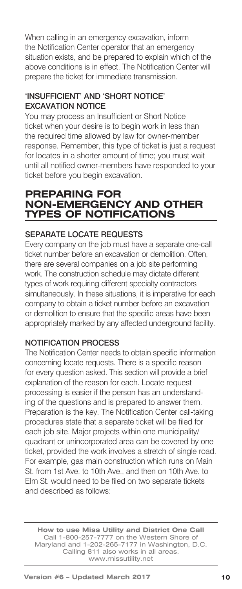When calling in an emergency excavation, inform the Notification Center operator that an emergency situation exists, and be prepared to explain which of the above conditions is in effect. The Notification Center will prepare the ticket for immediate transmission.

#### 'INSUFFICIENT' AND 'SHORT NOTICE' EXCAVATION NOTICE

You may process an Insufficient or Short Notice ticket when your desire is to begin work in less than the required time allowed by law for owner-member response. Remember, this type of ticket is just a request for locates in a shorter amount of time; you must wait until all notified owner-members have responded to your ticket before you begin excavation.

### **PREPARING FOR NON-EMERGENCY AND OTHER TYPES OF NOTIFICATIONS**

### SEPARATE LOCATE REQUESTS

Every company on the job must have a separate one-call ticket number before an excavation or demolition. Often, there are several companies on a job site performing work. The construction schedule may dictate different types of work requiring different specialty contractors simultaneously. In these situations, it is imperative for each company to obtain a ticket number before an excavation or demolition to ensure that the specific areas have been appropriately marked by any affected underground facility.

### NOTIFICATION PROCESS

The Notification Center needs to obtain specific information concerning locate requests. There is a specific reason for every question asked. This section will provide a brief explanation of the reason for each. Locate request processing is easier if the person has an understanding of the questions and is prepared to answer them. Preparation is the key. The Notification Center call-taking procedures state that a separate ticket will be filed for each job site. Major projects within one municipality/ quadrant or unincorporated area can be covered by one ticket, provided the work involves a stretch of single road. For example, gas main construction which runs on Main St. from 1st Ave. to 10th Ave., and then on 10th Ave. to Elm St. would need to be filed on two separate tickets and described as follows: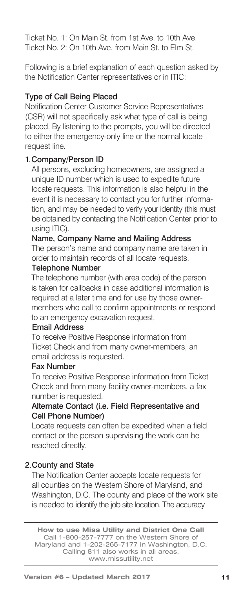Ticket No. 1: On Main St. from 1st Ave. to 10th Ave. Ticket No. 2: On 10th Ave. from Main St. to Elm St.

Following is a brief explanation of each question asked by the Notification Center representatives or in ITIC:

#### Type of Call Being Placed

Notification Center Customer Service Representatives (CSR) will not specifically ask what type of call is being placed. By listening to the prompts, you will be directed to either the emergency-only line or the normal locate request line.

#### 1.Company/Person ID

 All persons, excluding homeowners, are assigned a unique ID number which is used to expedite future locate requests. This information is also helpful in the event it is necessary to contact you for further information, and may be needed to verify your identity (this must be obtained by contacting the Notification Center prior to using ITIC).

#### Name, Company Name and Mailing Address

 The person's name and company name are taken in order to maintain records of all locate requests.

#### Telephone Number

 The telephone number (with area code) of the person is taken for callbacks in case additional information is required at a later time and for use by those ownermembers who call to confirm appointments or respond to an emergency excavation request.

#### Email Address

 To receive Positive Response information from Ticket Check and from many owner-members, an email address is requested.

#### Fax Number

To receive Positive Response information from Ticket Check and from many facility owner-members, a fax number is requested.

#### Alternate Contact (i.e. Field Representative and Cell Phone Number)

 Locate requests can often be expedited when a field contact or the person supervising the work can be reached directly.

#### 2.County and State

 The Notification Center accepts locate requests for all counties on the Western Shore of Maryland, and Washington, D.C. The county and place of the work site is needed to identify the job site location. The accuracy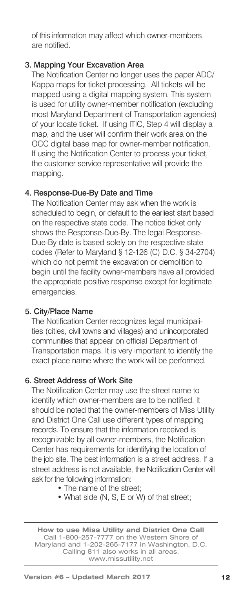of this information may affect which owner-members are notified.

#### 3. Mapping Your Excavation Area

 The Notification Center no longer uses the paper ADC/ Kappa maps for ticket processing. All tickets will be mapped using a digital mapping system. This system is used for utility owner-member notification (excluding most Maryland Department of Transportation agencies) of your locate ticket. If using ITIC, Step 4 will display a map, and the user will confirm their work area on the OCC digital base map for owner-member notification. If using the Notification Center to process your ticket, the customer service representative will provide the mapping.

#### 4. Response-Due-By Date and Time

 The Notification Center may ask when the work is scheduled to begin, or default to the earliest start based on the respective state code. The notice ticket only shows the Response-Due-By. The legal Response-Due-By date is based solely on the respective state codes (Refer to Maryland § 12-126 (C) D.C. § 34-2704) which do not permit the excavation or demolition to begin until the facility owner-members have all provided the appropriate positive response except for legitimate emergencies.

#### 5. City/Place Name

 The Notification Center recognizes legal municipalities (cities, civil towns and villages) and unincorporated communities that appear on official Department of Transportation maps. It is very important to identify the exact place name where the work will be performed.

#### 6. Street Address of Work Site

 The Notification Center may use the street name to identify which owner-members are to be notified. It should be noted that the owner-members of Miss Utility and District One Call use different types of mapping records. To ensure that the information received is recognizable by all owner-members, the Notification Center has requirements for identifying the location of the job site. The best information is a street address. If a street address is not available, the Notification Center will ask for the following information:

- The name of the street;
- What side (N, S, E or W) of that street;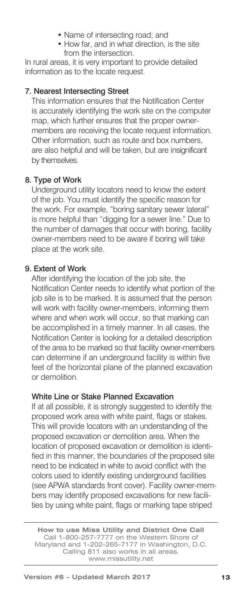- Name of intersecting road; and
- How far, and in what direction, is the site from the intersection.

In rural areas, it is very important to provide detailed information as to the locate request.

#### 7. Nearest Intersecting Street

 This information ensures that the Notification Center is accurately identifying the work site on the computer map, which further ensures that the proper ownermembers are receiving the locate request information. Other information, such as route and box numbers, are also helpful and will be taken, but are insignificant by themselves.

#### 8. Type of Work

 Underground utility locators need to know the extent of the job. You must identify the specific reason for the work. For example, "boring sanitary sewer lateral" is more helpful than "digging for a sewer line." Due to the number of damages that occur with boring, facility owner-members need to be aware if boring will take place at the work site.

#### 9. Extent of Work

 After identifying the location of the job site, the Notification Center needs to identify what portion of the job site is to be marked. It is assumed that the person will work with facility owner-members, informing them where and when work will occur, so that marking can be accomplished in a timely manner. In all cases, the Notification Center is looking for a detailed description of the area to be marked so that facility owner-members can determine if an underground facility is within five feet of the horizontal plane of the planned excavation or demolition.

#### White Line or Stake Planned Excavation

 If at all possible, it is strongly suggested to identify the proposed work area with white paint, flags or stakes. This will provide locators with an understanding of the proposed excavation or demolition area. When the location of proposed excavation or demolition is identified in this manner, the boundaries of the proposed site need to be indicated in white to avoid conflict with the colors used to identify existing underground facilities (see APWA standards front cover). Facility owner-members may identify proposed excavations for new facilities by using white paint, flags or marking tape striped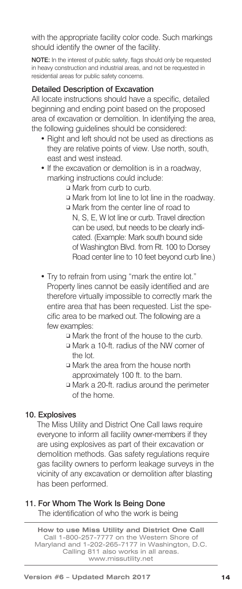with the appropriate facility color code. Such markings should identify the owner of the facility.

NOTE: In the interest of public safety, flags should only be requested in heavy construction and industrial areas, and not be requested in residential areas for public safety concerns.

#### Detailed Description of Excavation

 All locate instructions should have a specific, detailed beginning and ending point based on the proposed area of excavation or demolition. In identifying the area, the following guidelines should be considered:

- Right and left should not be used as directions as they are relative points of view. Use north, south, east and west instead.
- If the excavation or demolition is in a roadway, marking instructions could include:
	- □ Mark from curb to curb.
	- □ Mark from lot line to lot line in the roadway.
	- □ Mark from the center line of road to N, S, E, W lot line or curb. Travel direction can be used, but needs to be clearly indicated. (Example: Mark south bound side of Washington Blvd. from Rt. 100 to Dorsey Road center line to 10 feet beyond curb line.)
- Try to refrain from using "mark the entire lot." Property lines cannot be easily identified and are therefore virtually impossible to correctly mark the entire area that has been requested. List the specific area to be marked out. The following are a few examples:
	- <sup>q</sup> Mark the front of the house to the curb.
	- □ Mark a 10-ft. radius of the NW corner of the lot.
	- <sup>q</sup> Mark the area from the house north approximately 100 ft. to the barn.
	- <sup>q</sup> Mark a 20-ft. radius around the perimeter of the home.

#### 10. Explosives

 The Miss Utility and District One Call laws require everyone to inform all facility owner-members if they are using explosives as part of their excavation or demolition methods. Gas safety regulations require gas facility owners to perform leakage surveys in the vicinity of any excavation or demolition after blasting has been performed.

#### 11. For Whom The Work Is Being Done

The identification of who the work is being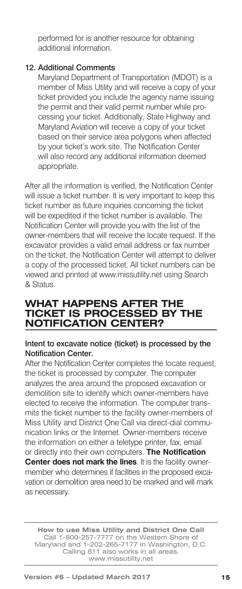performed for is another resource for obtaining additional information.

#### 12. Additional Comments

Maryland Department of Transportation (MDOT) is a member of Miss Utility and will receive a copy of your ticket provided you include the agency name issuing the permit and their valid permit number while processing your ticket. Additionally, State Highway and Maryland Aviation will receive a copy of your ticket based on their service area polygons when affected by your ticket's work site. The Notification Center will also record any additional information deemed appropriate.

After all the information is verified, the Notification Center will issue a ticket number. It is very important to keep this ticket number as future inquiries concerning the ticket will be expedited if the ticket number is available. The Notification Center will provide you with the list of the owner-members that will receive the locate request. If the excavator provides a valid email address or fax number on the ticket, the Notification Center will attempt to deliver a copy of the processed ticket. All ticket numbers can be viewed and printed at www.missutility.net using Search & Status.

### **WHAT HAPPENS AFTER THE TICKET IS PROCESSED BY THE NOTIFICATION CENTER?**

#### Intent to excavate notice (ticket) is processed by the Notification Center.

After the Notification Center completes the locate request, the ticket is processed by computer. The computer analyzes the area around the proposed excavation or demolition site to identify which owner-members have elected to receive the information. The computer transmits the ticket number to the facility owner-members of Miss Utility and District One Call via direct-dial communication links or the Internet. Owner-members receive the information on either a teletype printer, fax, email or directly into their own computers. **The Notification Center does not mark the lines**. It is the facility ownermember who determines if facilities in the proposed excavation or demolition area need to be marked and will mark as necessary.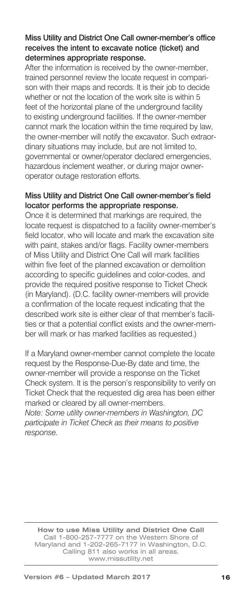#### Miss Utility and District One Call owner-member's office receives the intent to excavate notice (ticket) and determines appropriate response.

After the information is received by the owner-member, trained personnel review the locate request in comparison with their maps and records. It is their job to decide whether or not the location of the work site is within 5 feet of the horizontal plane of the underground facility to existing underground facilities. If the owner-member cannot mark the location within the time required by law, the owner-member will notify the excavator. Such extraordinary situations may include, but are not limited to, governmental or owner/operator declared emergencies, hazardous inclement weather, or during major owneroperator outage restoration efforts.

#### Miss Utility and District One Call owner-member's field locator performs the appropriate response.

Once it is determined that markings are required, the locate request is dispatched to a facility owner-member's field locator, who will locate and mark the excavation site with paint, stakes and/or flags. Facility owner-members of Miss Utility and District One Call will mark facilities within five feet of the planned excavation or demolition according to specific guidelines and color-codes, and provide the required positive response to Ticket Check (in Maryland). (D.C. facility owner-members will provide a confirmation of the locate request indicating that the described work site is either clear of that member's facilities or that a potential conflict exists and the owner-member will mark or has marked facilities as requested.)

If a Maryland owner-member cannot complete the locate request by the Response-Due-By date and time, the owner-member will provide a response on the Ticket Check system. It is the person's responsibility to verify on Ticket Check that the requested dig area has been either marked or cleared by all owner-members.

*Note: Some utility owner-members in Washington, DC participate in Ticket Check as their means to positive response.*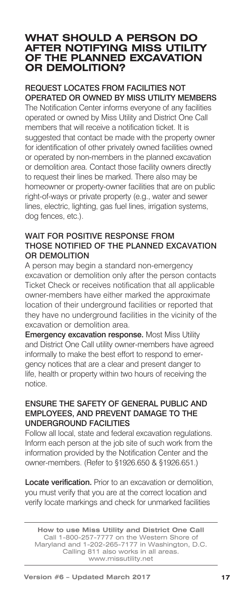### **WHAT SHOULD A PERSON DO AFTER NOTIFYING MISS UTILITY OF THE PLANNED EXCAVATION OR DEMOLITION?**

### REQUEST LOCATES FROM FACILITIES NOT OPERATED OR OWNED BY MISS UTILITY MEMBERS

The Notification Center informs everyone of any facilities operated or owned by Miss Utility and District One Call members that will receive a notification ticket. It is suggested that contact be made with the property owner for identification of other privately owned facilities owned or operated by non-members in the planned excavation or demolition area. Contact those facility owners directly to request their lines be marked. There also may be homeowner or property-owner facilities that are on public right-of-ways or private property (e.g., water and sewer lines, electric, lighting, gas fuel lines, irrigation systems, dog fences, etc.).

#### WAIT FOR POSITIVE RESPONSE FROM THOSE NOTIFIED OF THE PLANNED EXCAVATION OR DEMOLITION

A person may begin a standard non-emergency excavation or demolition only after the person contacts Ticket Check or receives notification that all applicable owner-members have either marked the approximate location of their underground facilities or reported that they have no underground facilities in the vicinity of the excavation or demolition area.

Emergency excavation response. Most Miss Utility and District One Call utility owner-members have agreed informally to make the best effort to respond to emergency notices that are a clear and present danger to life, health or property within two hours of receiving the notice.

#### ENSURE THE SAFETY OF GENERAL PUBLIC AND EMPLOYEES, AND PREVENT DAMAGE TO THE UNDERGROUND FACILITIES

Follow all local, state and federal excavation regulations. Inform each person at the job site of such work from the information provided by the Notification Center and the owner-members. (Refer to §1926.650 & §1926.651.)

Locate verification. Prior to an excavation or demolition, you must verify that you are at the correct location and verify locate markings and check for unmarked facilities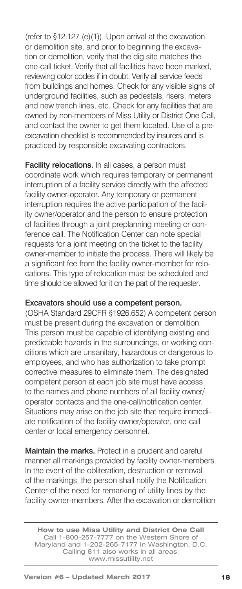(refer to §12.127 (e)(1)). Upon arrival at the excavation or demolition site, and prior to beginning the excavation or demolition, verify that the dig site matches the one-call ticket. Verify that all facilities have been marked, reviewing color codes if in doubt. Verify all service feeds from buildings and homes. Check for any visible signs of underground facilities, such as pedestals, risers, meters and new trench lines, etc. Check for any facilities that are owned by non-members of Miss Utility or District One Call, and contact the owner to get them located. Use of a preexcavation checklist is recommended by insurers and is practiced by responsible excavating contractors.

Facility relocations. In all cases, a person must coordinate work which requires temporary or permanent interruption of a facility service directly with the affected facility owner-operator. Any temporary or permanent interruption requires the active participation of the facility owner/operator and the person to ensure protection of facilities through a joint preplanning meeting or conference call. The Notification Center can note special requests for a joint meeting on the ticket to the facility owner-member to initiate the process. There will likely be a significant fee from the facility owner-member for relocations. This type of relocation must be scheduled and time should be allowed for it on the part of the requester.

#### Excavators should use a competent person.

(OSHA Standard 29CFR §1926.652) A competent person must be present during the excavation or demolition. This person must be capable of identifying existing and predictable hazards in the surroundings, or working conditions which are unsanitary, hazardous or dangerous to employees, and who has authorization to take prompt corrective measures to eliminate them. The designated competent person at each job site must have access to the names and phone numbers of all facility owner/ operator contacts and the one-call/notification center. Situations may arise on the job site that require immediate notification of the facility owner/operator, one-call center or local emergency personnel.

Maintain the marks. Protect in a prudent and careful manner all markings provided by facility owner-members. In the event of the obliteration, destruction or removal of the markings, the person shall notify the Notification Center of the need for remarking of utility lines by the facility owner-members. After the excavation or demolition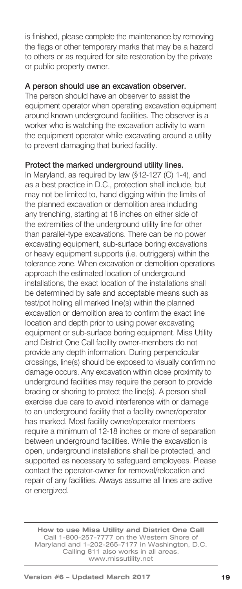is finished, please complete the maintenance by removing the flags or other temporary marks that may be a hazard to others or as required for site restoration by the private or public property owner.

#### A person should use an excavation observer.

The person should have an observer to assist the equipment operator when operating excavation equipment around known underground facilities. The observer is a worker who is watching the excavation activity to warn the equipment operator while excavating around a utility to prevent damaging that buried facility.

#### Protect the marked underground utility lines.

In Maryland, as required by law (§12-127 (C) 1-4), and as a best practice in D.C., protection shall include, but may not be limited to, hand digging within the limits of the planned excavation or demolition area including any trenching, starting at 18 inches on either side of the extremities of the underground utility line for other than parallel-type excavations. There can be no power excavating equipment, sub-surface boring excavations or heavy equipment supports (i.e. outriggers) within the tolerance zone. When excavation or demolition operations approach the estimated location of underground installations, the exact location of the installations shall be determined by safe and acceptable means such as test/pot holing all marked line(s) within the planned excavation or demolition area to confirm the exact line location and depth prior to using power excavating equipment or sub-surface boring equipment. Miss Utility and District One Call facility owner-members do not provide any depth information. During perpendicular crossings, line(s) should be exposed to visually confirm no damage occurs. Any excavation within close proximity to underground facilities may require the person to provide bracing or shoring to protect the line(s). A person shall exercise due care to avoid interference with or damage to an underground facility that a facility owner/operator has marked. Most facility owner/operator members require a minimum of 12-18 inches or more of separation between underground facilities. While the excavation is open, underground installations shall be protected, and supported as necessary to safeguard employees. Please contact the operator-owner for removal/relocation and repair of any facilities. Always assume all lines are active or energized.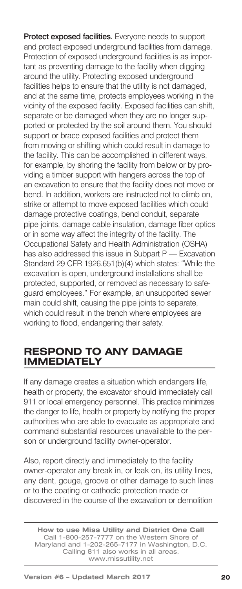Protect exposed facilities. Everyone needs to support and protect exposed underground facilities from damage. Protection of exposed underground facilities is as important as preventing damage to the facility when digging around the utility. Protecting exposed underground facilities helps to ensure that the utility is not damaged, and at the same time, protects employees working in the vicinity of the exposed facility. Exposed facilities can shift, separate or be damaged when they are no longer supported or protected by the soil around them. You should support or brace exposed facilities and protect them from moving or shifting which could result in damage to the facility. This can be accomplished in different ways, for example, by shoring the facility from below or by providing a timber support with hangers across the top of an excavation to ensure that the facility does not move or bend. In addition, workers are instructed not to climb on, strike or attempt to move exposed facilities which could damage protective coatings, bend conduit, separate pipe joints, damage cable insulation, damage fiber optics or in some way affect the integrity of the facility. The Occupational Safety and Health Administration (OSHA) has also addressed this issue in Subpart P — Excavation Standard 29 CFR 1926.651(b)(4) which states: "While the excavation is open, underground installations shall be protected, supported, or removed as necessary to safeguard employees." For example, an unsupported sewer main could shift, causing the pipe joints to separate, which could result in the trench where employees are working to flood, endangering their safety.

### **RESPOND TO ANY DAMAGE IMMEDIATELY**

If any damage creates a situation which endangers life, health or property, the excavator should immediately call 911 or local emergency personnel. This practice minimizes the danger to life, health or property by notifying the proper authorities who are able to evacuate as appropriate and command substantial resources unavailable to the person or underground facility owner-operator.

Also, report directly and immediately to the facility owner-operator any break in, or leak on, its utility lines, any dent, gouge, groove or other damage to such lines or to the coating or cathodic protection made or discovered in the course of the excavation or demolition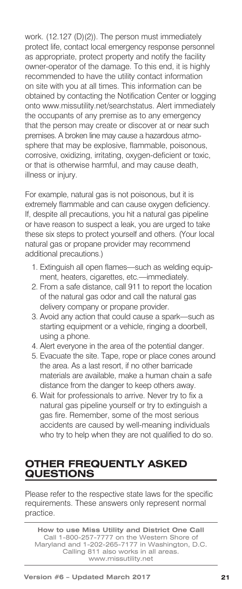work. (12.127 (D)(2)). The person must immediately protect life, contact local emergency response personnel as appropriate, protect property and notify the facility owner-operator of the damage. To this end, it is highly recommended to have the utility contact information on site with you at all times. This information can be obtained by contacting the Notification Center or logging onto www.missutility.net/searchstatus. Alert immediately the occupants of any premise as to any emergency that the person may create or discover at or near such premises. A broken line may cause a hazardous atmosphere that may be explosive, flammable, poisonous, corrosive, oxidizing, irritating, oxygen-deficient or toxic, or that is otherwise harmful, and may cause death, illness or injury.

For example, natural gas is not poisonous, but it is extremely flammable and can cause oxygen deficiency. If, despite all precautions, you hit a natural gas pipeline or have reason to suspect a leak, you are urged to take these six steps to protect yourself and others. (Your local natural gas or propane provider may recommend additional precautions.)

- 1. Extinguish all open flames—such as welding equipment, heaters, cigarettes, etc.—immediately.
- 2. From a safe distance, call 911 to report the location of the natural gas odor and call the natural gas delivery company or propane provider.
- 3. Avoid any action that could cause a spark—such as starting equipment or a vehicle, ringing a doorbell, using a phone.
- 4. Alert everyone in the area of the potential danger.
- 5. Evacuate the site. Tape, rope or place cones around the area. As a last resort, if no other barricade materials are available, make a human chain a safe distance from the danger to keep others away.
- 6. Wait for professionals to arrive. Never try to fix a natural gas pipeline yourself or try to extinguish a gas fire. Remember, some of the most serious accidents are caused by well-meaning individuals who try to help when they are not qualified to do so.

### **OTHER FREQUENTLY ASKED QUESTIONS**

Please refer to the respective state laws for the specific requirements. These answers only represent normal practice.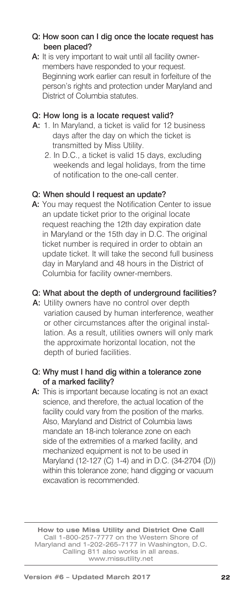#### Q: How soon can I dig once the locate request has been placed?

A: It is very important to wait until all facility ownermembers have responded to your request. Beginning work earlier can result in forfeiture of the person's rights and protection under Maryland and District of Columbia statutes.

#### Q: How long is a locate request valid?

- A: 1. In Maryland, a ticket is valid for 12 business days after the day on which the ticket is transmitted by Miss Utility.
	- 2. In D.C., a ticket is valid 15 days, excluding weekends and legal holidays, from the time of notification to the one-call center.

#### Q: When should I request an update?

A: You may request the Notification Center to issue an update ticket prior to the original locate request reaching the 12th day expiration date in Maryland or the 15th day in D.C. The original ticket number is required in order to obtain an update ticket. It will take the second full business day in Maryland and 48 hours in the District of Columbia for facility owner-members.

#### Q: What about the depth of underground facilities?

A: Utility owners have no control over depth variation caused by human interference, weather or other circumstances after the original installation. As a result, utilities owners will only mark the approximate horizontal location, not the depth of buried facilities.

#### Q: Why must I hand dig within a tolerance zone of a marked facility?

A: This is important because locating is not an exact science, and therefore, the actual location of the facility could vary from the position of the marks. Also, Maryland and District of Columbia laws mandate an 18-inch tolerance zone on each side of the extremities of a marked facility, and mechanized equipment is not to be used in Maryland (12-127 (C) 1-4) and in D.C. (34-2704 (D)) within this tolerance zone; hand digging or vacuum excavation is recommended.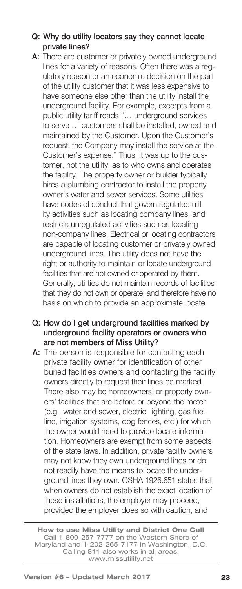#### Q: Why do utility locators say they cannot locate private lines?

- A: There are customer or privately owned underground lines for a variety of reasons. Often there was a regulatory reason or an economic decision on the part of the utility customer that it was less expensive to have someone else other than the utility install the underground facility. For example, excerpts from a public utility tariff reads "… underground services to serve … customers shall be installed, owned and maintained by the Customer. Upon the Customer's request, the Company may install the service at the Customer's expense." Thus, it was up to the customer, not the utility, as to who owns and operates the facility. The property owner or builder typically hires a plumbing contractor to install the property owner's water and sewer services. Some utilities have codes of conduct that govern regulated utility activities such as locating company lines, and restricts unregulated activities such as locating non-company lines. Electrical or locating contractors are capable of locating customer or privately owned underground lines. The utility does not have the right or authority to maintain or locate underground facilities that are not owned or operated by them. Generally, utilities do not maintain records of facilities that they do not own or operate, and therefore have no basis on which to provide an approximate locate.
- Q: How do I get underground facilities marked by underground facility operators or owners who are not members of Miss Utility?
- A: The person is responsible for contacting each private facility owner for identification of other buried facilities owners and contacting the facility owners directly to request their lines be marked. There also may be homeowners' or property owners' facilities that are before or beyond the meter (e.g., water and sewer, electric, lighting, gas fuel line, irrigation systems, dog fences, etc.) for which the owner would need to provide locate information. Homeowners are exempt from some aspects of the state laws. In addition, private facility owners may not know they own underground lines or do not readily have the means to locate the underground lines they own. OSHA 1926.651 states that when owners do not establish the exact location of these installations, the employer may proceed, provided the employer does so with caution, and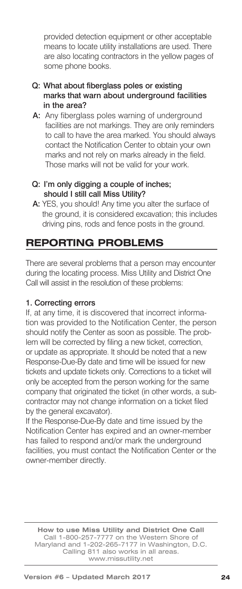provided detection equipment or other acceptable means to locate utility installations are used. There are also locating contractors in the yellow pages of some phone books.

- Q: What about fiberglass poles or existing marks that warn about underground facilities in the area?
- A: Any fiberglass poles warning of underground facilities are not markings. They are only reminders to call to have the area marked. You should always contact the Notification Center to obtain your own marks and not rely on marks already in the field. Those marks will not be valid for your work.
- Q: I'm only digging a couple of inches; should I still call Miss Utility?
- A: YES, you should! Any time you alter the surface of the ground, it is considered excavation; this includes driving pins, rods and fence posts in the ground.

### **REPORTING PROBLEMS**

There are several problems that a person may encounter during the locating process. Miss Utility and District One Call will assist in the resolution of these problems:

#### 1. Correcting errors

If, at any time, it is discovered that incorrect information was provided to the Notification Center, the person should notify the Center as soon as possible. The problem will be corrected by filing a new ticket, correction, or update as appropriate. It should be noted that a new Response-Due-By date and time will be issued for new tickets and update tickets only. Corrections to a ticket will only be accepted from the person working for the same company that originated the ticket (in other words, a subcontractor may not change information on a ticket filed by the general excavator).

If the Response-Due-By date and time issued by the Notification Center has expired and an owner-member has failed to respond and/or mark the underground facilities, you must contact the Notification Center or the owner-member directly.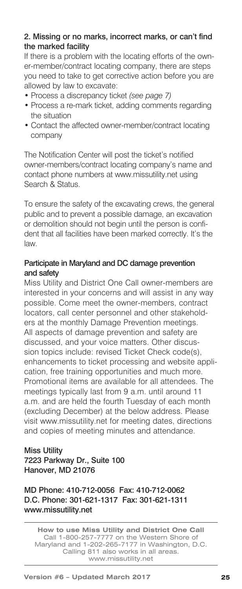#### 2. Missing or no marks, incorrect marks, or can't find the marked facility

If there is a problem with the locating efforts of the owner-member/contract locating company, there are steps you need to take to get corrective action before you are allowed by law to excavate:

- Process a discrepancy ticket *(see page 7)*
- Process a re-mark ticket, adding comments regarding the situation
- Contact the affected owner-member/contract locating company

The Notification Center will post the ticket's notified owner-members/contract locating company's name and contact phone numbers at www.missutility.net using Search & Status.

To ensure the safety of the excavating crews, the general public and to prevent a possible damage, an excavation or demolition should not begin until the person is confident that all facilities have been marked correctly. It's the law.

#### Participate in Maryland and DC damage prevention and safety

Miss Utility and District One Call owner-members are interested in your concerns and will assist in any way possible. Come meet the owner-members, contract locators, call center personnel and other stakeholders at the monthly Damage Prevention meetings. All aspects of damage prevention and safety are discussed, and your voice matters. Other discussion topics include: revised Ticket Check code(s), enhancements to ticket processing and website application, free training opportunities and much more. Promotional items are available for all attendees. The meetings typically last from 9 a.m. until around 11 a.m. and are held the fourth Tuesday of each month (excluding December) at the below address. Please visit www.missutility.net for meeting dates, directions and copies of meeting minutes and attendance.

### Miss Utility 7223 Parkway Dr., Suite 100

Hanover, MD 21076

MD Phone: 410-712-0056 Fax: 410-712-0062 D.C. Phone: 301-621-1317 Fax: 301-621-1311 www.missutility.net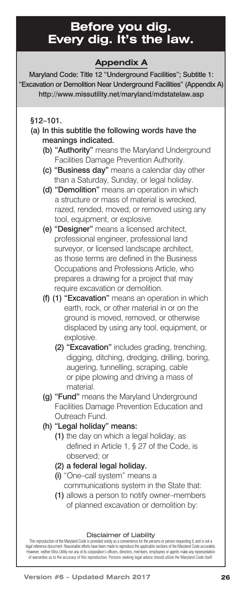### **Appendix A**

Maryland Code: Title 12 "Underground Facilities"; Subtitle 1: "Excavation or Demolition Near Underground Facilities" (Appendix A) http://www.missutility.net/maryland/mdstatelaw.asp

#### §12–101.

- (a) In this subtitle the following words have the meanings indicated.
	- (b) "Authority" means the Maryland Underground Facilities Damage Prevention Authority.
	- (c) "Business day" means a calendar day other than a Saturday, Sunday, or legal holiday.
	- (d) "Demolition" means an operation in which a structure or mass of material is wrecked, razed, rended, moved, or removed using any tool, equipment, or explosive.
	- (e) "Designer" means a licensed architect, professional engineer, professional land surveyor, or licensed landscape architect, as those terms are defined in the Business Occupations and Professions Article, who prepares a drawing for a project that may require excavation or demolition.
	- (f) (1) "Excavation" means an operation in which earth, rock, or other material in or on the ground is moved, removed, or otherwise displaced by using any tool, equipment, or explosive.
		- (2) "Excavation" includes grading, trenching, digging, ditching, dredging, drilling, boring, augering, tunnelling, scraping, cable or pipe plowing and driving a mass of material.
	- (g) "Fund" means the Maryland Underground Facilities Damage Prevention Education and Outreach Fund.

#### (h) "Legal holiday" means:

- (1) the day on which a legal holiday, as defined in Article 1, § 27 of the Code, is observed; or
- (2) a federal legal holiday.
- (i) "One–call system" means a communications system in the State that:
- (1) allows a person to notify owner–members of planned excavation or demolition by:

#### Disclaimer of Liability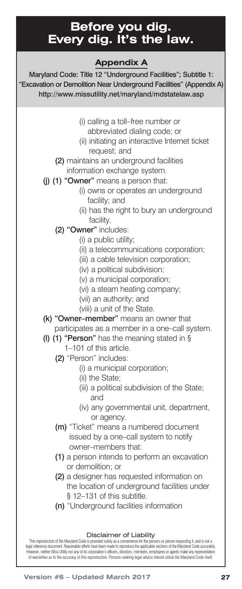### **Appendix A**

Maryland Code: Title 12 "Underground Facilities"; Subtitle 1: "Excavation or Demolition Near Underground Facilities" (Appendix A) http://www.missutility.net/maryland/mdstatelaw.asp

- (i) calling a toll–free number or abbreviated dialing code; or
- (ii) initiating an interactive Internet ticket request; and
- (2) maintains an underground facilities information exchange system.
- (j) (1) "Owner" means a person that:
	- (i) owns or operates an underground facility; and
	- (ii) has the right to bury an underground facility.
	- (2) "Owner" includes:
		- (i) a public utility;
		- (ii) a telecommunications corporation;
		- (iii) a cable television corporation;
		- (iv) a political subdivision;
		- (v) a municipal corporation;
		- (vi) a steam heating company;
		- (vii) an authority; and
		- (viii) a unit of the State.
- (k) "Owner–member" means an owner that participates as a member in a one–call system.
- (l) (1) "Person" has the meaning stated in §
	- 1–101 of this article.
	- (2) "Person" includes:
		- (i) a municipal corporation;
		- (ii) the State;
		- (iii) a political subdivision of the State; and
		- (iv) any governmental unit, department, or agency.
	- (m) "Ticket" means a numbered document issued by a one–call system to notify owner–members that:
	- (1) a person intends to perform an excavation or demolition; or
	- (2) a designer has requested information on the location of underground facilities under § 12-131 of this subtitle.
	- (n) "Underground facilities information

#### Disclaimer of Liability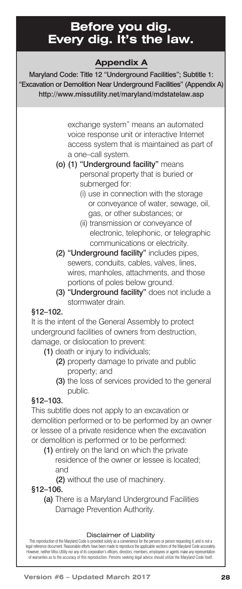### **Appendix A**

Maryland Code: Title 12 "Underground Facilities"; Subtitle 1: "Excavation or Demolition Near Underground Facilities" (Appendix A) http://www.missutility.net/maryland/mdstatelaw.asp

> exchange system" means an automated voice response unit or interactive Internet access system that is maintained as part of a one–call system.

#### (o) (1) "Underground facility" means personal property that is buried or submerged for:

- (i) use in connection with the storage or conveyance of water, sewage, oil, gas, or other substances; or
- (ii) transmission or conveyance of electronic, telephonic, or telegraphic communications or electricity.
- (2) "Underground facility" includes pipes, sewers, conduits, cables, valves, lines, wires, manholes, attachments, and those portions of poles below ground.
- (3) "Underground facility" does not include a stormwater drain.

#### §12–102.

It is the intent of the General Assembly to protect underground facilities of owners from destruction, damage, or dislocation to prevent:

(1) death or injury to individuals;

- (2) property damage to private and public property; and
- (3) the loss of services provided to the general public.

#### §12–103.

This subtitle does not apply to an excavation or demolition performed or to be performed by an owner or lessee of a private residence when the excavation or demolition is performed or to be performed:

(1) entirely on the land on which the private residence of the owner or lessee is located; and

(2) without the use of machinery.

§12–106.

(a) There is a Maryland Underground Facilities Damage Prevention Authority.

#### Disclaimer of Liability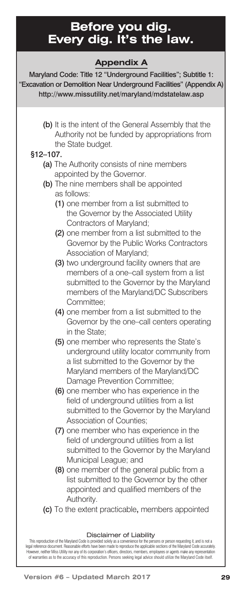### **Appendix A**

Maryland Code: Title 12 "Underground Facilities"; Subtitle 1: "Excavation or Demolition Near Underground Facilities" (Appendix A) http://www.missutility.net/maryland/mdstatelaw.asp

> (b) It is the intent of the General Assembly that the Authority not be funded by appropriations from the State budget.

#### §12–107.

- (a) The Authority consists of nine members appointed by the Governor.
- (b) The nine members shall be appointed as follows:
	- (1) one member from a list submitted to the Governor by the Associated Utility Contractors of Maryland;
	- (2) one member from a list submitted to the Governor by the Public Works Contractors Association of Maryland;
	- (3) two underground facility owners that are members of a one–call system from a list submitted to the Governor by the Maryland members of the Maryland/DC Subscribers Committee;
	- (4) one member from a list submitted to the Governor by the one–call centers operating in the State;
	- (5) one member who represents the State's underground utility locator community from a list submitted to the Governor by the Maryland members of the Maryland/DC Damage Prevention Committee;
	- (6) one member who has experience in the field of underground utilities from a list submitted to the Governor by the Maryland Association of Counties;
	- (7) one member who has experience in the field of underground utilities from a list submitted to the Governor by the Maryland Municipal League; and
	- (8) one member of the general public from a list submitted to the Governor by the other appointed and qualified members of the Authority.
- (c) To the extent practicable, members appointed

#### Disclaimer of Liability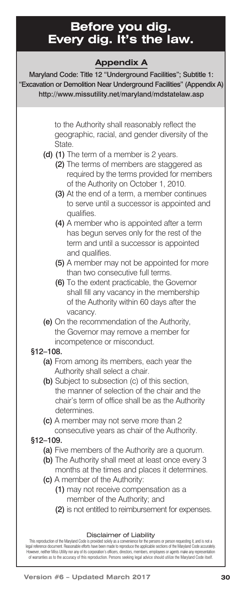### **Appendix A**

Maryland Code: Title 12 "Underground Facilities"; Subtitle 1: "Excavation or Demolition Near Underground Facilities" (Appendix A) http://www.missutility.net/maryland/mdstatelaw.asp

> to the Authority shall reasonably reflect the geographic, racial, and gender diversity of the State.

- (d) (1) The term of a member is 2 years.
	- (2) The terms of members are staggered as required by the terms provided for members of the Authority on October 1, 2010.
	- (3) At the end of a term, a member continues to serve until a successor is appointed and qualifies.
	- (4) A member who is appointed after a term has begun serves only for the rest of the term and until a successor is appointed and qualifies.
	- (5) A member may not be appointed for more than two consecutive full terms.
	- (6) To the extent practicable, the Governor shall fill any vacancy in the membership of the Authority within 60 days after the vacancy.
- (e) On the recommendation of the Authority, the Governor may remove a member for incompetence or misconduct.

#### §12–108.

- (a) From among its members, each year the Authority shall select a chair.
- (b) Subject to subsection (c) of this section, the manner of selection of the chair and the chair's term of office shall be as the Authority determines.
- (c) A member may not serve more than 2 consecutive years as chair of the Authority.

#### §12–109.

- (a) Five members of the Authority are a quorum.
- (b) The Authority shall meet at least once every 3 months at the times and places it determines.
- (c) A member of the Authority:
	- (1) may not receive compensation as a member of the Authority; and
	- (2) is not entitled to reimbursement for expenses.

#### Disclaimer of Liability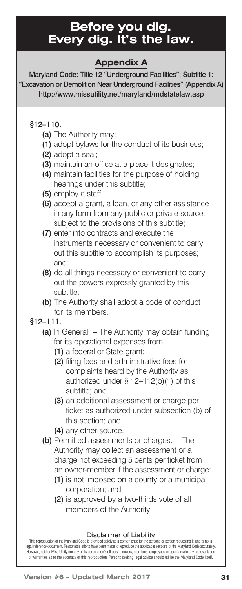### **Appendix A**

Maryland Code: Title 12 "Underground Facilities"; Subtitle 1: "Excavation or Demolition Near Underground Facilities" (Appendix A) http://www.missutility.net/maryland/mdstatelaw.asp

#### §12–110.

- (a) The Authority may:
- (1) adopt bylaws for the conduct of its business;
- (2) adopt a seal;
- (3) maintain an office at a place it designates;
- (4) maintain facilities for the purpose of holding hearings under this subtitle;
- (5) employ a staff;
- (6) accept a grant, a loan, or any other assistance in any form from any public or private source, subject to the provisions of this subtitle;
- (7) enter into contracts and execute the instruments necessary or convenient to carry out this subtitle to accomplish its purposes; and
- (8) do all things necessary or convenient to carry out the powers expressly granted by this subtitle.
- (b) The Authority shall adopt a code of conduct for its members.
- §12–111.
	- (a) In General. -- The Authority may obtain funding for its operational expenses from:
		- (1) a federal or State grant;
		- (2) filing fees and administrative fees for complaints heard by the Authority as authorized under § 12–112(b)(1) of this subtitle; and
		- (3) an additional assessment or charge per ticket as authorized under subsection (b) of this section; and
		- (4) any other source.
	- (b) Permitted assessments or charges. -- The Authority may collect an assessment or a charge not exceeding 5 cents per ticket from an owner-member if the assessment or charge:
		- (1) is not imposed on a county or a municipal corporation; and
		- (2) is approved by a two-thirds vote of all members of the Authority.

#### Disclaimer of Liability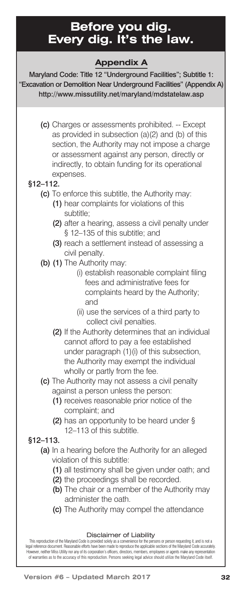### **Appendix A**

Maryland Code: Title 12 "Underground Facilities"; Subtitle 1: "Excavation or Demolition Near Underground Facilities" (Appendix A) http://www.missutility.net/maryland/mdstatelaw.asp

> (c) Charges or assessments prohibited. -- Except as provided in subsection (a)(2) and (b) of this section, the Authority may not impose a charge or assessment against any person, directly or indirectly, to obtain funding for its operational expenses.

#### §12–112.

- (c) To enforce this subtitle, the Authority may:
	- (1) hear complaints for violations of this subtitle;
	- (2) after a hearing, assess a civil penalty under § 12–135 of this subtitle; and
	- (3) reach a settlement instead of assessing a civil penalty.
- (b) (1) The Authority may:
	- (i) establish reasonable complaint filing fees and administrative fees for complaints heard by the Authority; and
	- (ii) use the services of a third party to collect civil penalties.
	- (2) If the Authority determines that an individual cannot afford to pay a fee established under paragraph (1)(i) of this subsection, the Authority may exempt the individual wholly or partly from the fee.
- (c) The Authority may not assess a civil penalty against a person unless the person:
	- (1) receives reasonable prior notice of the complaint; and
	- (2) has an opportunity to be heard under § 12–113 of this subtitle.
- §12–113.
	- (a) In a hearing before the Authority for an alleged violation of this subtitle:
		- (1) all testimony shall be given under oath; and
		- (2) the proceedings shall be recorded.
		- (b) The chair or a member of the Authority may administer the oath.
		- (c) The Authority may compel the attendance

#### Disclaimer of Liability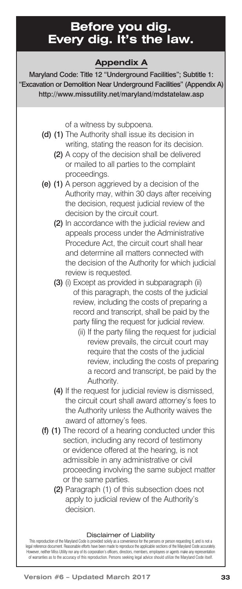#### **Appendix A**

Maryland Code: Title 12 "Underground Facilities"; Subtitle 1: "Excavation or Demolition Near Underground Facilities" (Appendix A) http://www.missutility.net/maryland/mdstatelaw.asp

of a witness by subpoena.

- (d) (1) The Authority shall issue its decision in writing, stating the reason for its decision.
	- (2) A copy of the decision shall be delivered or mailed to all parties to the complaint proceedings.
- (e) (1) A person aggrieved by a decision of the Authority may, within 30 days after receiving the decision, request judicial review of the decision by the circuit court.
	- (2) In accordance with the judicial review and appeals process under the Administrative Procedure Act, the circuit court shall hear and determine all matters connected with the decision of the Authority for which judicial review is requested.
	- (3) (i) Except as provided in subparagraph (ii) of this paragraph, the costs of the judicial review, including the costs of preparing a record and transcript, shall be paid by the party filing the request for judicial review.
		- (ii) If the party filing the request for judicial review prevails, the circuit court may require that the costs of the judicial review, including the costs of preparing a record and transcript, be paid by the Authority.
	- (4) If the request for judicial review is dismissed, the circuit court shall award attorney's fees to the Authority unless the Authority waives the award of attorney's fees.
- (f) (1) The record of a hearing conducted under this section, including any record of testimony or evidence offered at the hearing, is not admissible in any administrative or civil proceeding involving the same subject matter or the same parties.
	- (2) Paragraph (1) of this subsection does not apply to judicial review of the Authority's decision.

#### Disclaimer of Liability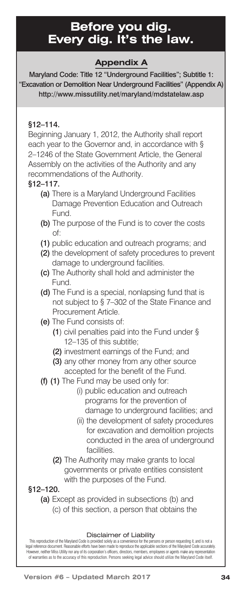### **Appendix A**

Maryland Code: Title 12 "Underground Facilities"; Subtitle 1: "Excavation or Demolition Near Underground Facilities" (Appendix A) http://www.missutility.net/maryland/mdstatelaw.asp

#### §12–114.

Beginning January 1, 2012, the Authority shall report each year to the Governor and, in accordance with § 2–1246 of the State Government Article, the General Assembly on the activities of the Authority and any recommendations of the Authority.

#### §12–117.

- (a) There is a Maryland Underground Facilities Damage Prevention Education and Outreach Fund.
- (b) The purpose of the Fund is to cover the costs of:
- (1) public education and outreach programs; and
- (2) the development of safety procedures to prevent damage to underground facilities.
- (c) The Authority shall hold and administer the Fund.
- (d) The Fund is a special, nonlapsing fund that is not subject to § 7–302 of the State Finance and Procurement Article.
- (e) The Fund consists of:
	- (1) civil penalties paid into the Fund under § 12–135 of this subtitle;
	- (2) investment earnings of the Fund; and
	- (3) any other money from any other source accepted for the benefit of the Fund.
- (f) (1) The Fund may be used only for:
	- (i) public education and outreach programs for the prevention of damage to underground facilities; and
	- (ii) the development of safety procedures for excavation and demolition projects conducted in the area of underground facilities.
	- (2) The Authority may make grants to local governments or private entities consistent with the purposes of the Fund.

§12–120.

(a) Except as provided in subsections (b) and (c) of this section, a person that obtains the

#### Disclaimer of Liability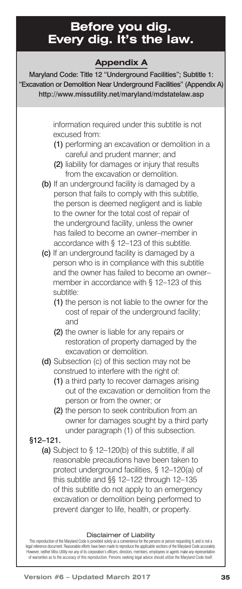#### **Appendix A**

Maryland Code: Title 12 "Underground Facilities"; Subtitle 1: "Excavation or Demolition Near Underground Facilities" (Appendix A) http://www.missutility.net/maryland/mdstatelaw.asp

> information required under this subtitle is not excused from:

- (1) performing an excavation or demolition in a careful and prudent manner; and
- (2) liability for damages or injury that results from the excavation or demolition.
- (b) If an underground facility is damaged by a person that fails to comply with this subtitle, the person is deemed negligent and is liable to the owner for the total cost of repair of the underground facility, unless the owner has failed to become an owner–member in accordance with § 12–123 of this subtitle.
- (c) If an underground facility is damaged by a person who is in compliance with this subtitle and the owner has failed to become an owner– member in accordance with § 12–123 of this subtitle:
	- (1) the person is not liable to the owner for the cost of repair of the underground facility; and
	- (2) the owner is liable for any repairs or restoration of property damaged by the excavation or demolition.
- (d) Subsection (c) of this section may not be construed to interfere with the right of:
	- (1) a third party to recover damages arising out of the excavation or demolition from the person or from the owner; or
	- (2) the person to seek contribution from an owner for damages sought by a third party under paragraph (1) of this subsection.

#### §12–121.

(a) Subject to  $\S$  12–120(b) of this subtitle, if all reasonable precautions have been taken to protect underground facilities, § 12–120(a) of this subtitle and §§ 12–122 through 12–135 of this subtitle do not apply to an emergency excavation or demolition being performed to prevent danger to life, health, or property.

#### Disclaimer of Liability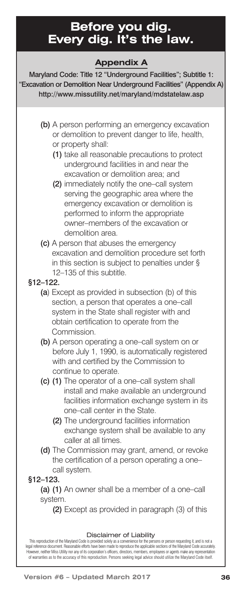### **Appendix A**

Maryland Code: Title 12 "Underground Facilities"; Subtitle 1: "Excavation or Demolition Near Underground Facilities" (Appendix A) http://www.missutility.net/maryland/mdstatelaw.asp

- (b) A person performing an emergency excavation or demolition to prevent danger to life, health, or property shall:
	- (1) take all reasonable precautions to protect underground facilities in and near the excavation or demolition area; and
	- (2) immediately notify the one–call system serving the geographic area where the emergency excavation or demolition is performed to inform the appropriate owner–members of the excavation or demolition area.
- (c) A person that abuses the emergency excavation and demolition procedure set forth in this section is subject to penalties under § 12–135 of this subtitle.
- §12–122.
	- (a) Except as provided in subsection (b) of this section, a person that operates a one–call system in the State shall register with and obtain certification to operate from the Commission.
	- (b) A person operating a one–call system on or before July 1, 1990, is automatically registered with and certified by the Commission to continue to operate.
	- (c) (1) The operator of a one–call system shall install and make available an underground facilities information exchange system in its one–call center in the State.
		- (2) The underground facilities information exchange system shall be available to any caller at all times.
	- (d) The Commission may grant, amend, or revoke the certification of a person operating a one– call system.

#### §12–123.

(a) (1) An owner shall be a member of a one-call system.

(2) Except as provided in paragraph (3) of this

#### Disclaimer of Liability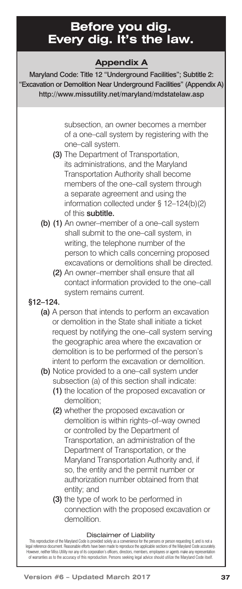#### **Appendix A**

Maryland Code: Title 12 "Underground Facilities"; Subtitle 2: "Excavation or Demolition Near Underground Facilities" (Appendix A) http://www.missutility.net/maryland/mdstatelaw.asp

> subsection, an owner becomes a member of a one–call system by registering with the one–call system.

- (3) The Department of Transportation, its administrations, and the Maryland Transportation Authority shall become members of the one–call system through a separate agreement and using the information collected under § 12–124(b)(2) of this **subtitle.**
- (b) (1) An owner–member of a one–call system shall submit to the one–call system, in writing, the telephone number of the person to which calls concerning proposed excavations or demolitions shall be directed.
	- (2) An owner–member shall ensure that all contact information provided to the one–call system remains current.
- §12–124.
	- (a) A person that intends to perform an excavation or demolition in the State shall initiate a ticket request by notifying the one–call system serving the geographic area where the excavation or demolition is to be performed of the person's intent to perform the excavation or demolition.
	- (b) Notice provided to a one–call system under subsection (a) of this section shall indicate:
		- (1) the location of the proposed excavation or demolition;
		- (2) whether the proposed excavation or demolition is within rights–of–way owned or controlled by the Department of Transportation, an administration of the Department of Transportation, or the Maryland Transportation Authority and, if so, the entity and the permit number or authorization number obtained from that entity; and
		- (3) the type of work to be performed in connection with the proposed excavation or demolition.

#### Disclaimer of Liability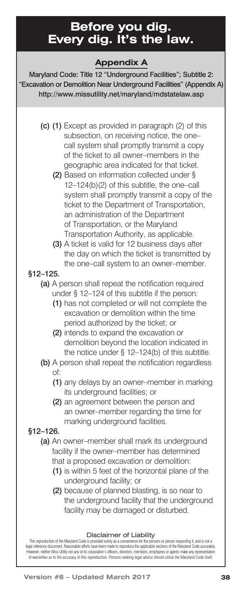#### **Appendix A**

Maryland Code: Title 12 "Underground Facilities"; Subtitle 2: "Excavation or Demolition Near Underground Facilities" (Appendix A) http://www.missutility.net/maryland/mdstatelaw.asp

- (c) (1) Except as provided in paragraph (2) of this subsection, on receiving notice, the one– call system shall promptly transmit a copy of the ticket to all owner–members in the geographic area indicated for that ticket.
	- (2) Based on information collected under § 12–124(b)(2) of this subtitle, the one–call system shall promptly transmit a copy of the ticket to the Department of Transportation, an administration of the Department of Transportation, or the Maryland Transportation Authority, as applicable.
	- (3) A ticket is valid for 12 business days after the day on which the ticket is transmitted by the one–call system to an owner–member.
- §12–125.
	- (a) A person shall repeat the notification required under § 12–124 of this subtitle if the person:
		- (1) has not completed or will not complete the excavation or demolition within the time period authorized by the ticket; or
		- (2) intends to expand the excavation or demolition beyond the location indicated in the notice under § 12–124(b) of this subtitle.
	- (b) A person shall repeat the notification regardless of:
		- (1) any delays by an owner–member in marking its underground facilities; or
		- (2) an agreement between the person and an owner–member regarding the time for marking underground facilities.
- §12–126.
	- (a) An owner–member shall mark its underground facility if the owner–member has determined that a proposed excavation or demolition:
		- (1) is within 5 feet of the horizontal plane of the underground facility; or
		- (2) because of planned blasting, is so near to the underground facility that the underground facility may be damaged or disturbed.

#### Disclaimer of Liability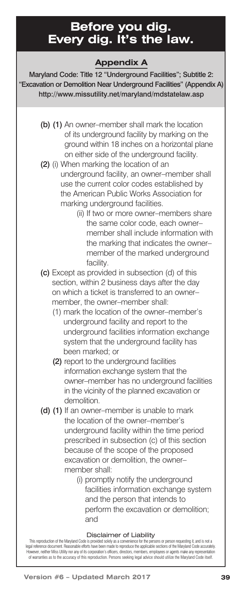### **Appendix A**

Maryland Code: Title 12 "Underground Facilities"; Subtitle 2: "Excavation or Demolition Near Underground Facilities" (Appendix A) http://www.missutility.net/maryland/mdstatelaw.asp

- (b) (1) An owner-member shall mark the location of its underground facility by marking on the ground within 18 inches on a horizontal plane on either side of the underground facility.
- (2) (i) When marking the location of an underground facility, an owner–member shall use the current color codes established by the American Public Works Association for marking underground facilities.
	- (ii) If two or more owner–members share the same color code, each owner– member shall include information with the marking that indicates the owner– member of the marked underground facility.
- (c) Except as provided in subsection (d) of this section, within 2 business days after the day on which a ticket is transferred to an owner– member, the owner–member shall:
	- (1) mark the location of the owner–member's underground facility and report to the underground facilities information exchange system that the underground facility has been marked; or
	- (2) report to the underground facilities information exchange system that the owner–member has no underground facilities in the vicinity of the planned excavation or demolition.
- (d) (1) If an owner–member is unable to mark the location of the owner–member's underground facility within the time period prescribed in subsection (c) of this section because of the scope of the proposed excavation or demolition, the owner– member shall:
	- (i) promptly notify the underground facilities information exchange system and the person that intends to perform the excavation or demolition; and

#### Disclaimer of Liability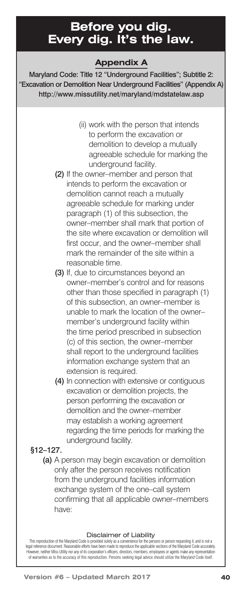#### **Appendix A**

Maryland Code: Title 12 "Underground Facilities"; Subtitle 2: "Excavation or Demolition Near Underground Facilities" (Appendix A) http://www.missutility.net/maryland/mdstatelaw.asp

- (ii) work with the person that intends to perform the excavation or demolition to develop a mutually agreeable schedule for marking the underground facility.
- (2) If the owner–member and person that intends to perform the excavation or demolition cannot reach a mutually agreeable schedule for marking under paragraph (1) of this subsection, the owner–member shall mark that portion of the site where excavation or demolition will first occur, and the owner–member shall mark the remainder of the site within a reasonable time.
- (3) If, due to circumstances beyond an owner–member's control and for reasons other than those specified in paragraph (1) of this subsection, an owner–member is unable to mark the location of the owner– member's underground facility within the time period prescribed in subsection (c) of this section, the owner–member shall report to the underground facilities information exchange system that an extension is required.
- (4) In connection with extensive or contiguous excavation or demolition projects, the person performing the excavation or demolition and the owner–member may establish a working agreement regarding the time periods for marking the underground facility.

#### §12–127.

(a) A person may begin excavation or demolition only after the person receives notification from the underground facilities information exchange system of the one–call system confirming that all applicable owner–members have:

#### Disclaimer of Liability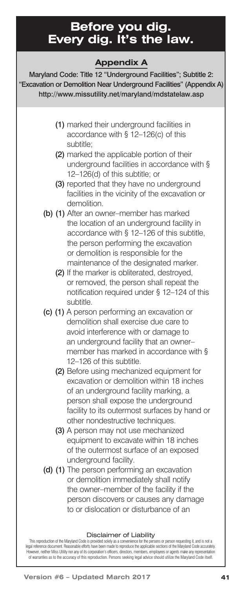### **Appendix A**

Maryland Code: Title 12 "Underground Facilities"; Subtitle 2: "Excavation or Demolition Near Underground Facilities" (Appendix A) http://www.missutility.net/maryland/mdstatelaw.asp

- (1) marked their underground facilities in accordance with § 12–126(c) of this subtitle;
- (2) marked the applicable portion of their underground facilities in accordance with § 12–126(d) of this subtitle; or
- (3) reported that they have no underground facilities in the vicinity of the excavation or demolition.
- (b) (1) After an owner-member has marked the location of an underground facility in accordance with § 12–126 of this subtitle, the person performing the excavation or demolition is responsible for the maintenance of the designated marker.
	- (2) If the marker is obliterated, destroyed, or removed, the person shall repeat the notification required under § 12–124 of this subtitle.
- (c) (1) A person performing an excavation or demolition shall exercise due care to avoid interference with or damage to an underground facility that an owner– member has marked in accordance with § 12–126 of this subtitle.
	- (2) Before using mechanized equipment for excavation or demolition within 18 inches of an underground facility marking, a person shall expose the underground facility to its outermost surfaces by hand or other nondestructive techniques.
	- (3) A person may not use mechanized equipment to excavate within 18 inches of the outermost surface of an exposed underground facility.
- (d) (1) The person performing an excavation or demolition immediately shall notify the owner–member of the facility if the person discovers or causes any damage to or dislocation or disturbance of an

#### Disclaimer of Liability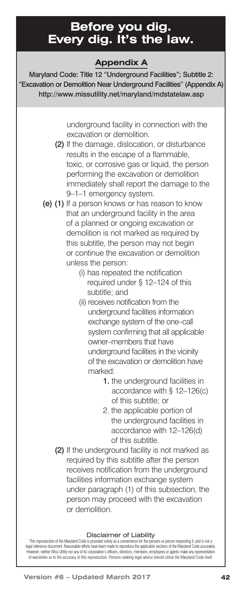#### **Appendix A**

Maryland Code: Title 12 "Underground Facilities"; Subtitle 2: "Excavation or Demolition Near Underground Facilities" (Appendix A) http://www.missutility.net/maryland/mdstatelaw.asp

> underground facility in connection with the excavation or demolition.

- (2) If the damage, dislocation, or disturbance results in the escape of a flammable, toxic, or corrosive gas or liquid, the person performing the excavation or demolition immediately shall report the damage to the 9–1–1 emergency system.
- (e) (1) If a person knows or has reason to know that an underground facility in the area of a planned or ongoing excavation or demolition is not marked as required by this subtitle, the person may not begin or continue the excavation or demolition unless the person:
	- (i) has repeated the notification required under § 12–124 of this subtitle; and
	- (ii) receives notification from the underground facilities information exchange system of the one–call system confirming that all applicable owner–members that have underground facilities in the vicinity of the excavation or demolition have marked:
		- 1. the underground facilities in accordance with § 12–126(c) of this subtitle; or
		- 2. the applicable portion of the underground facilities in accordance with 12–126(d) of this subtitle.
	- (2) If the underground facility is not marked as required by this subtitle after the person receives notification from the underground facilities information exchange system under paragraph (1) of this subsection, the person may proceed with the excavation or demolition.

#### Disclaimer of Liability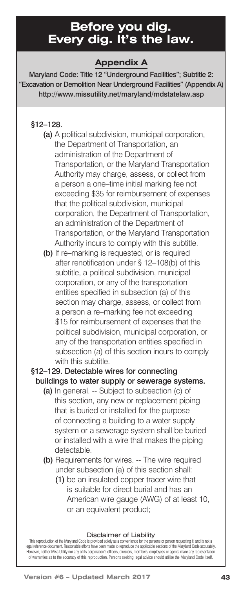### **Appendix A**

Maryland Code: Title 12 "Underground Facilities"; Subtitle 2: "Excavation or Demolition Near Underground Facilities" (Appendix A) http://www.missutility.net/maryland/mdstatelaw.asp

- §12–128.
	- (a) A political subdivision, municipal corporation, the Department of Transportation, an administration of the Department of Transportation, or the Maryland Transportation Authority may charge, assess, or collect from a person a one–time initial marking fee not exceeding \$35 for reimbursement of expenses that the political subdivision, municipal corporation, the Department of Transportation, an administration of the Department of Transportation, or the Maryland Transportation Authority incurs to comply with this subtitle.
	- (b) If re–marking is requested, or is required after renotification under § 12–108(b) of this subtitle, a political subdivision, municipal corporation, or any of the transportation entities specified in subsection (a) of this section may charge, assess, or collect from a person a re–marking fee not exceeding \$15 for reimbursement of expenses that the political subdivision, municipal corporation, or any of the transportation entities specified in subsection (a) of this section incurs to comply with this subtitle.

### §12–129. Detectable wires for connecting buildings to water supply or sewerage systems.

- (a) In general. -- Subject to subsection (c) of this section, any new or replacement piping that is buried or installed for the purpose of connecting a building to a water supply system or a sewerage system shall be buried or installed with a wire that makes the piping detectable.
- (b) Requirements for wires. -- The wire required under subsection (a) of this section shall:
	- (1) be an insulated copper tracer wire that is suitable for direct burial and has an American wire gauge (AWG) of at least 10, or an equivalent product;

#### Disclaimer of Liability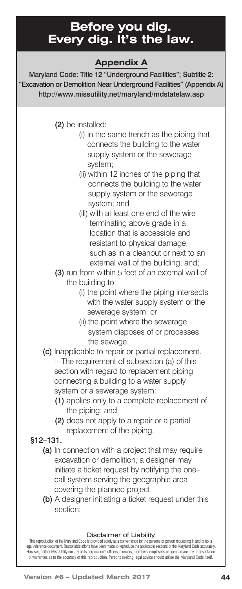### **Appendix A**

Maryland Code: Title 12 "Underground Facilities"; Subtitle 2: "Excavation or Demolition Near Underground Facilities" (Appendix A) http://www.missutility.net/maryland/mdstatelaw.asp

(2) be installed:

- (i) in the same trench as the piping that connects the building to the water supply system or the sewerage system;
- (ii) within 12 inches of the piping that connects the building to the water supply system or the sewerage system; and
- (iIi) with at least one end of the wire terminating above grade in a location that is accessible and resistant to physical damage, such as in a cleanout or next to an external wall of the building; and;
- (3) run from within 5 feet of an external wall of the building to:
	- (i) the point where the piping intersects with the water supply system or the sewerage system; or
	- (ii) the point where the sewerage system disposes of or processes the sewage.
- (c) Inapplicable to repair or partial replacement. -- The requirement of subsection (a) of this section with regard to replacement piping connecting a building to a water supply system or a sewerage system:
	- (1) applies only to a complete replacement of the piping; and
	- (2) does not apply to a repair or a partial replacement of the piping.

#### §12–131.

- (a) In connection with a project that may require excavation or demolition, a designer may initiate a ticket request by notifying the one– call system serving the geographic area covering the planned project.
- (b) A designer initiating a ticket request under this section:

#### Disclaimer of Liability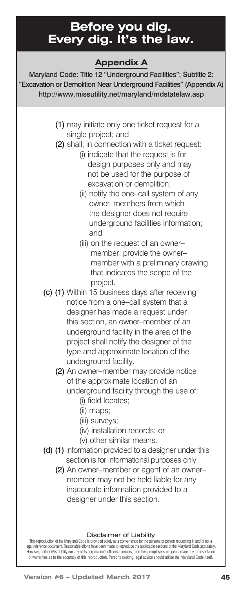### **Appendix A**

Maryland Code: Title 12 "Underground Facilities"; Subtitle 2: "Excavation or Demolition Near Underground Facilities" (Appendix A) http://www.missutility.net/maryland/mdstatelaw.asp

- (1) may initiate only one ticket request for a single project; and
- (2) shall, in connection with a ticket request:
	- (i) indicate that the request is for design purposes only and may not be used for the purpose of excavation or demolition;
	- (ii) notify the one–call system of any owner–members from which the designer does not require underground facilities information; and
	- (iii) on the request of an owner– member, provide the owner– member with a preliminary drawing that indicates the scope of the project.
- (c) (1) Within 15 business days after receiving notice from a one–call system that a designer has made a request under this section, an owner–member of an underground facility in the area of the project shall notify the designer of the type and approximate location of the underground facility.
	- (2) An owner–member may provide notice of the approximate location of an underground facility through the use of: (i) field locates;
		- (ii) maps;
		- (iii) surveys;
		- (iv) installation records; or
		- (v) other similar means.
- (d) (1) Information provided to a designer under this section is for informational purposes only.
	- (2) An owner–member or agent of an owner– member may not be held liable for any inaccurate information provided to a designer under this section.

#### Disclaimer of Liability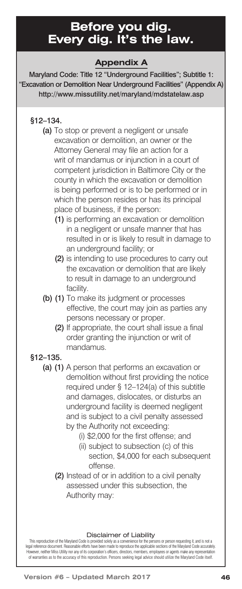### **Appendix A**

Maryland Code: Title 12 "Underground Facilities"; Subtitle 1: "Excavation or Demolition Near Underground Facilities" (Appendix A) http://www.missutility.net/maryland/mdstatelaw.asp

#### §12–134.

- (a) To stop or prevent a negligent or unsafe excavation or demolition, an owner or the Attorney General may file an action for a writ of mandamus or injunction in a court of competent jurisdiction in Baltimore City or the county in which the excavation or demolition is being performed or is to be performed or in which the person resides or has its principal place of business, if the person:
	- (1) is performing an excavation or demolition in a negligent or unsafe manner that has resulted in or is likely to result in damage to an underground facility; or
	- (2) is intending to use procedures to carry out the excavation or demolition that are likely to result in damage to an underground facility.
- (b) (1) To make its judgment or processes effective, the court may join as parties any persons necessary or proper.
	- (2) If appropriate, the court shall issue a final order granting the injunction or writ of mandamus.

#### §12–135.

- (a) (1) A person that performs an excavation or demolition without first providing the notice required under § 12–124(a) of this subtitle and damages, dislocates, or disturbs an underground facility is deemed negligent and is subject to a civil penalty assessed by the Authority not exceeding:
	- (i) \$2,000 for the first offense; and
	- (ii) subject to subsection (c) of this section, \$4,000 for each subsequent offense.
	- (2) Instead of or in addition to a civil penalty assessed under this subsection, the Authority may:

#### Disclaimer of Liability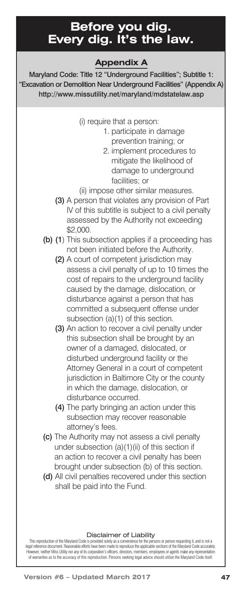#### **Appendix A**

Maryland Code: Title 12 "Underground Facilities"; Subtitle 1: "Excavation or Demolition Near Underground Facilities" (Appendix A) http://www.missutility.net/maryland/mdstatelaw.asp

- (i) require that a person:
	- 1. participate in damage prevention training; or
	- 2. implement procedures to mitigate the likelihood of damage to underground facilities; or
- (ii) impose other similar measures.
- (3) A person that violates any provision of Part IV of this subtitle is subject to a civil penalty assessed by the Authority not exceeding \$2,000.
- (b) (1) This subsection applies if a proceeding has not been initiated before the Authority.
	- (2) A court of competent jurisdiction may assess a civil penalty of up to 10 times the cost of repairs to the underground facility caused by the damage, dislocation, or disturbance against a person that has committed a subsequent offense under subsection (a)(1) of this section.
	- (3) An action to recover a civil penalty under this subsection shall be brought by an owner of a damaged, dislocated, or disturbed underground facility or the Attorney General in a court of competent jurisdiction in Baltimore City or the county in which the damage, dislocation, or disturbance occurred.
	- (4) The party bringing an action under this subsection may recover reasonable attorney's fees.
- (c) The Authority may not assess a civil penalty under subsection (a)(1)(ii) of this section if an action to recover a civil penalty has been brought under subsection (b) of this section.
- (d) All civil penalties recovered under this section shall be paid into the Fund.

#### Disclaimer of Liability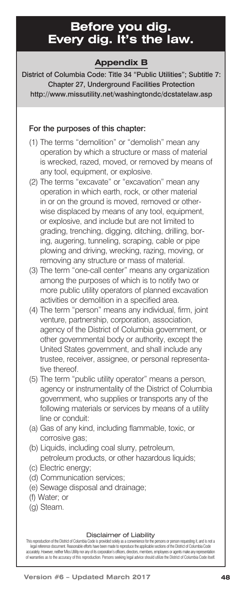#### **Appendix B**

District of Columbia Code: Title 34 "Public Utilities"; Subtitle 7: Chapter 27, Underground Facilities Protection

http://www.missutility.net/washingtondc/dcstatelaw.asp

#### For the purposes of this chapter:

- (1) The terms "demolition" or "demolish" mean any operation by which a structure or mass of material is wrecked, razed, moved, or removed by means of any tool, equipment, or explosive.
- (2) The terms "excavate" or "excavation" mean any operation in which earth, rock, or other material in or on the ground is moved, removed or otherwise displaced by means of any tool, equipment, or explosive, and include but are not limited to grading, trenching, digging, ditching, drilling, boring, augering, tunneling, scraping, cable or pipe plowing and driving, wrecking, razing, moving, or removing any structure or mass of material.
- (3) The term "one-call center" means any organization among the purposes of which is to notify two or more public utility operators of planned excavation activities or demolition in a specified area.
- (4) The term "person" means any individual, firm, joint venture, partnership, corporation, association, agency of the District of Columbia government, or other governmental body or authority, except the United States government, and shall include any trustee, receiver, assignee, or personal representative thereof.
- (5) The term "public utility operator" means a person, agency or instrumentality of the District of Columbia government, who supplies or transports any of the following materials or services by means of a utility line or conduit:
- (a) Gas of any kind, including flammable, toxic, or corrosive gas;
- (b) Liquids, including coal slurry, petroleum, petroleum products, or other hazardous liquids;
- (c) Electric energy;
- (d) Communication services;
- (e) Sewage disposal and drainage;
- (f) Water; or
- (g) Steam.

#### Disclaimer of Liability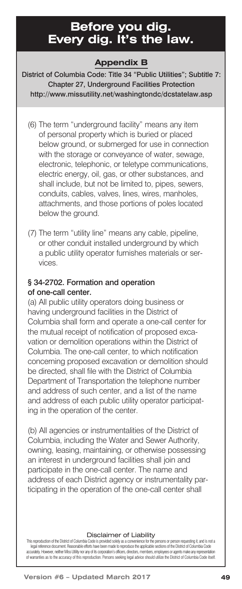#### **Appendix B**

District of Columbia Code: Title 34 "Public Utilities"; Subtitle 7: Chapter 27, Underground Facilities Protection http://www.missutility.net/washingtondc/dcstatelaw.asp

- (6) The term "underground facility" means any item of personal property which is buried or placed below ground, or submerged for use in connection with the storage or conveyance of water, sewage, electronic, telephonic, or teletype communications, electric energy, oil, gas, or other substances, and shall include, but not be limited to, pipes, sewers, conduits, cables, valves, lines, wires, manholes, attachments, and those portions of poles located below the ground.
- (7) The term "utility line" means any cable, pipeline, or other conduit installed underground by which a public utility operator furnishes materials or services.

#### § 34-2702. Formation and operation of one-call center.

(a) All public utility operators doing business or having underground facilities in the District of Columbia shall form and operate a one-call center for the mutual receipt of notification of proposed excavation or demolition operations within the District of Columbia. The one-call center, to which notification concerning proposed excavation or demolition should be directed, shall file with the District of Columbia Department of Transportation the telephone number and address of such center, and a list of the name and address of each public utility operator participating in the operation of the center.

(b) All agencies or instrumentalities of the District of Columbia, including the Water and Sewer Authority, owning, leasing, maintaining, or otherwise possessing an interest in underground facilities shall join and participate in the one-call center. The name and address of each District agency or instrumentality participating in the operation of the one-call center shall

#### Disclaimer of Liability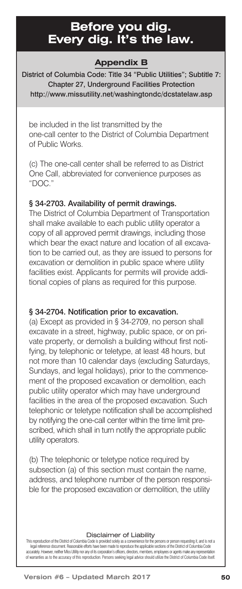#### **Appendix B**

District of Columbia Code: Title 34 "Public Utilities"; Subtitle 7: Chapter 27, Underground Facilities Protection

http://www.missutility.net/washingtondc/dcstatelaw.asp

be included in the list transmitted by the one-call center to the District of Columbia Department of Public Works.

(c) The one-call center shall be referred to as District One Call, abbreviated for convenience purposes as "DOC."

#### § 34-2703. Availability of permit drawings.

The District of Columbia Department of Transportation shall make available to each public utility operator a copy of all approved permit drawings, including those which bear the exact nature and location of all excavation to be carried out, as they are issued to persons for excavation or demolition in public space where utility facilities exist. Applicants for permits will provide additional copies of plans as required for this purpose.

#### § 34-2704. Notification prior to excavation.

(a) Except as provided in § 34-2709, no person shall excavate in a street, highway, public space, or on private property, or demolish a building without first notifying, by telephonic or teletype, at least 48 hours, but not more than 10 calendar days (excluding Saturdays, Sundays, and legal holidays), prior to the commencement of the proposed excavation or demolition, each public utility operator which may have underground facilities in the area of the proposed excavation. Such telephonic or teletype notification shall be accomplished by notifying the one-call center within the time limit prescribed, which shall in turn notify the appropriate public utility operators.

(b) The telephonic or teletype notice required by subsection (a) of this section must contain the name, address, and telephone number of the person responsible for the proposed excavation or demolition, the utility

#### Disclaimer of Liability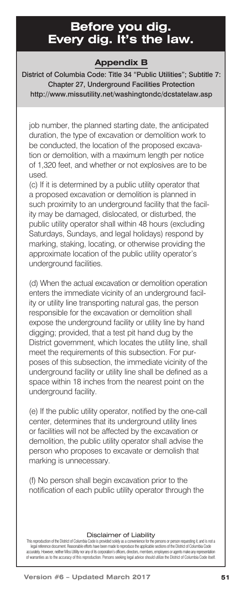#### **Appendix B**

District of Columbia Code: Title 34 "Public Utilities"; Subtitle 7: Chapter 27, Underground Facilities Protection http://www.missutility.net/washingtondc/dcstatelaw.asp

job number, the planned starting date, the anticipated duration, the type of excavation or demolition work to be conducted, the location of the proposed excavation or demolition, with a maximum length per notice of 1,320 feet, and whether or not explosives are to be used.

(c) If it is determined by a public utility operator that a proposed excavation or demolition is planned in such proximity to an underground facility that the facility may be damaged, dislocated, or disturbed, the public utility operator shall within 48 hours (excluding Saturdays, Sundays, and legal holidays) respond by marking, staking, locating, or otherwise providing the approximate location of the public utility operator's underground facilities.

(d) When the actual excavation or demolition operation enters the immediate vicinity of an underground facility or utility line transporting natural gas, the person responsible for the excavation or demolition shall expose the underground facility or utility line by hand digging; provided, that a test pit hand dug by the District government, which locates the utility line, shall meet the requirements of this subsection. For purposes of this subsection, the immediate vicinity of the underground facility or utility line shall be defined as a space within 18 inches from the nearest point on the underground facility.

(e) If the public utility operator, notified by the one-call center, determines that its underground utility lines or facilities will not be affected by the excavation or demolition, the public utility operator shall advise the person who proposes to excavate or demolish that marking is unnecessary.

(f) No person shall begin excavation prior to the notification of each public utility operator through the

#### Disclaimer of Liability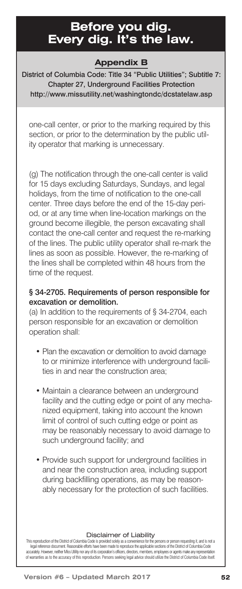#### **Appendix B**

District of Columbia Code: Title 34 "Public Utilities"; Subtitle 7: Chapter 27, Underground Facilities Protection http://www.missutility.net/washingtondc/dcstatelaw.asp

one-call center, or prior to the marking required by this section, or prior to the determination by the public utility operator that marking is unnecessary.

(g) The notification through the one-call center is valid for 15 days excluding Saturdays, Sundays, and legal holidays, from the time of notification to the one-call center. Three days before the end of the 15-day period, or at any time when line-location markings on the ground become illegible, the person excavating shall contact the one-call center and request the re-marking of the lines. The public utility operator shall re-mark the lines as soon as possible. However, the re-marking of the lines shall be completed within 48 hours from the time of the request.

#### § 34-2705. Requirements of person responsible for excavation or demolition.

(a) In addition to the requirements of § 34-2704, each person responsible for an excavation or demolition operation shall:

- Plan the excavation or demolition to avoid damage to or minimize interference with underground facilities in and near the construction area;
- Maintain a clearance between an underground facility and the cutting edge or point of any mechanized equipment, taking into account the known limit of control of such cutting edge or point as may be reasonably necessary to avoid damage to such underground facility; and
- Provide such support for underground facilities in and near the construction area, including support during backfilling operations, as may be reasonably necessary for the protection of such facilities.

Disclaimer of Liability

This reproduction of the District of Columbia Code is provided solely as a convenience for the persons or person requesting it, and is not a legal reference document. Reasonable efforts have been made to reproduce the applicable sections of the District of Columbia Code accurately. However, neither Miss Utility nor any of its corporation's officers, directors, members, employees or agents make any representation of warranties as to the accuracy of this reproduction. Persons seeking legal advice should utilize the District of Columbia Code itself.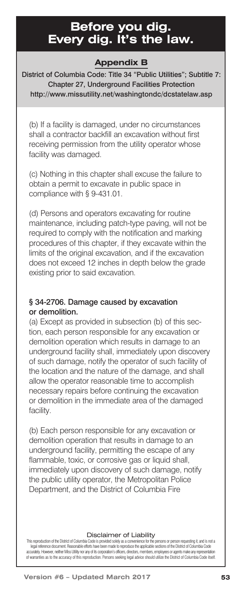#### **Appendix B**

District of Columbia Code: Title 34 "Public Utilities"; Subtitle 7: Chapter 27, Underground Facilities Protection http://www.missutility.net/washingtondc/dcstatelaw.asp

(b) If a facility is damaged, under no circumstances shall a contractor backfill an excavation without first receiving permission from the utility operator whose facility was damaged.

(c) Nothing in this chapter shall excuse the failure to obtain a permit to excavate in public space in compliance with § 9-431.01.

(d) Persons and operators excavating for routine maintenance, including patch-type paving, will not be required to comply with the notification and marking procedures of this chapter, if they excavate within the limits of the original excavation, and if the excavation does not exceed 12 inches in depth below the grade existing prior to said excavation.

#### § 34-2706. Damage caused by excavation or demolition.

(a) Except as provided in subsection (b) of this section, each person responsible for any excavation or demolition operation which results in damage to an underground facility shall, immediately upon discovery of such damage, notify the operator of such facility of the location and the nature of the damage, and shall allow the operator reasonable time to accomplish necessary repairs before continuing the excavation or demolition in the immediate area of the damaged facility.

(b) Each person responsible for any excavation or demolition operation that results in damage to an underground facility, permitting the escape of any flammable, toxic, or corrosive gas or liquid shall, immediately upon discovery of such damage, notify the public utility operator, the Metropolitan Police Department, and the District of Columbia Fire

#### Disclaimer of Liability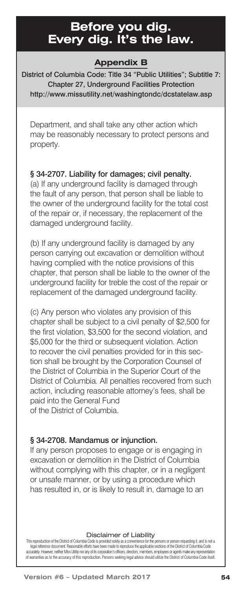#### **Appendix B**

District of Columbia Code: Title 34 "Public Utilities"; Subtitle 7: Chapter 27, Underground Facilities Protection http://www.missutility.net/washingtondc/dcstatelaw.asp

Department, and shall take any other action which may be reasonably necessary to protect persons and property.

§ 34-2707. Liability for damages; civil penalty. (a) If any underground facility is damaged through the fault of any person, that person shall be liable to the owner of the underground facility for the total cost of the repair or, if necessary, the replacement of the damaged underground facility.

(b) If any underground facility is damaged by any person carrying out excavation or demolition without having complied with the notice provisions of this chapter, that person shall be liable to the owner of the underground facility for treble the cost of the repair or replacement of the damaged underground facility.

(c) Any person who violates any provision of this chapter shall be subject to a civil penalty of \$2,500 for the first violation, \$3,500 for the second violation, and \$5,000 for the third or subsequent violation. Action to recover the civil penalties provided for in this section shall be brought by the Corporation Counsel of the District of Columbia in the Superior Court of the District of Columbia. All penalties recovered from such action, including reasonable attorney's fees, shall be paid into the General Fund

of the District of Columbia.

#### § 34-2708. Mandamus or injunction.

If any person proposes to engage or is engaging in excavation or demolition in the District of Columbia without complying with this chapter, or in a negligent or unsafe manner, or by using a procedure which has resulted in, or is likely to result in, damage to an

#### Disclaimer of Liability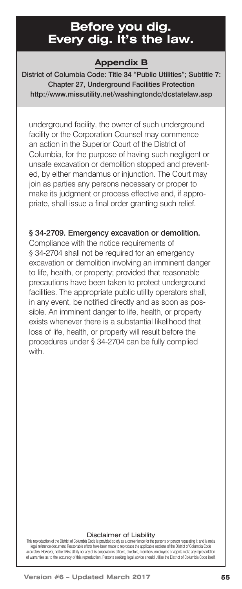#### **Appendix B**

District of Columbia Code: Title 34 "Public Utilities"; Subtitle 7: Chapter 27, Underground Facilities Protection http://www.missutility.net/washingtondc/dcstatelaw.asp

underground facility, the owner of such underground facility or the Corporation Counsel may commence an action in the Superior Court of the District of Columbia, for the purpose of having such negligent or unsafe excavation or demolition stopped and prevented, by either mandamus or injunction. The Court may join as parties any persons necessary or proper to make its judgment or process effective and, if appropriate, shall issue a final order granting such relief.

#### § 34-2709. Emergency excavation or demolition.

Compliance with the notice requirements of § 34-2704 shall not be required for an emergency excavation or demolition involving an imminent danger to life, health, or property; provided that reasonable precautions have been taken to protect underground facilities. The appropriate public utility operators shall, in any event, be notified directly and as soon as possible. An imminent danger to life, health, or property exists whenever there is a substantial likelihood that loss of life, health, or property will result before the procedures under § 34-2704 can be fully complied with.

#### Disclaimer of Liability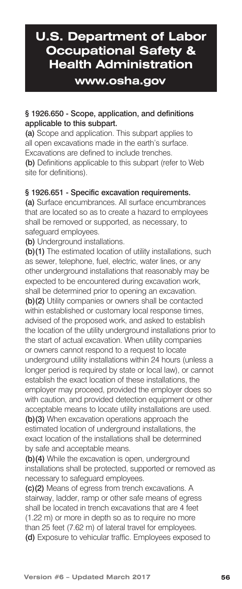#### § 1926.650 - Scope, application, and definitions applicable to this subpart.

(a) Scope and application. This subpart applies to all open excavations made in the earth's surface. Excavations are defined to include trenches.

(b) Definitions applicable to this subpart (refer to Web site for definitions).

#### § 1926.651 - Specific excavation requirements.

(a) Surface encumbrances. All surface encumbrances that are located so as to create a hazard to employees shall be removed or supported, as necessary, to safeguard employees.

(b) Underground installations.

(b)(1) The estimated location of utility installations, such as sewer, telephone, fuel, electric, water lines, or any other underground installations that reasonably may be expected to be encountered during excavation work, shall be determined prior to opening an excavation. (b)(2) Utility companies or owners shall be contacted within established or customary local response times, advised of the proposed work, and asked to establish the location of the utility underground installations prior to the start of actual excavation. When utility companies or owners cannot respond to a request to locate underground utility installations within 24 hours (unless a longer period is required by state or local law), or cannot establish the exact location of these installations, the employer may proceed, provided the employer does so with caution, and provided detection equipment or other acceptable means to locate utility installations are used. (b)(3) When excavation operations approach the

estimated location of underground installations, the exact location of the installations shall be determined by safe and acceptable means.

(b)(4) While the excavation is open, underground installations shall be protected, supported or removed as necessary to safeguard employees.

(c)(2) Means of egress from trench excavations. A stairway, ladder, ramp or other safe means of egress shall be located in trench excavations that are 4 feet (1.22 m) or more in depth so as to require no more than 25 feet (7.62 m) of lateral travel for employees. (d) Exposure to vehicular traffic. Employees exposed to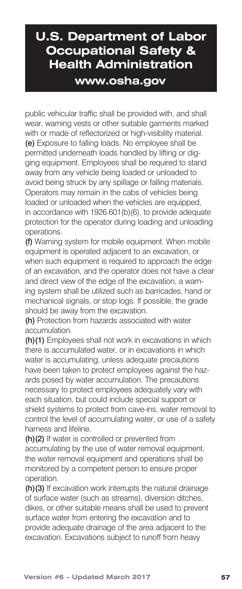public vehicular traffic shall be provided with, and shall wear, warning vests or other suitable garments marked with or made of reflectorized or high-visibility material. (e) Exposure to falling loads. No employee shall be permitted underneath loads handled by lifting or digging equipment. Employees shall be required to stand away from any vehicle being loaded or unloaded to avoid being struck by any spillage or falling materials. Operators may remain in the cabs of vehicles being loaded or unloaded when the vehicles are equipped, in accordance with 1926.601(b)(6), to provide adequate protection for the operator during loading and unloading operations.

(f) Warning system for mobile equipment. When mobile equipment is operated adjacent to an excavation, or when such equipment is required to approach the edge of an excavation, and the operator does not have a clear and direct view of the edge of the excavation, a warning system shall be utilized such as barricades, hand or mechanical signals, or stop logs. If possible, the grade should be away from the excavation.

(h) Protection from hazards associated with water accumulation.

(h)(1) Employees shall not work in excavations in which there is accumulated water, or in excavations in which water is accumulating, unless adequate precautions have been taken to protect employees against the hazards posed by water accumulation. The precautions necessary to protect employees adequately vary with each situation, but could include special support or shield systems to protect from cave-ins, water removal to control the level of accumulating water, or use of a safety harness and lifeline.

(h)(2) If water is controlled or prevented from accumulating by the use of water removal equipment, the water removal equipment and operations shall be monitored by a competent person to ensure proper operation.

(h)(3) If excavation work interrupts the natural drainage of surface water (such as streams), diversion ditches, dikes, or other suitable means shall be used to prevent surface water from entering the excavation and to provide adequate drainage of the area adjacent to the excavation. Excavations subject to runoff from heavy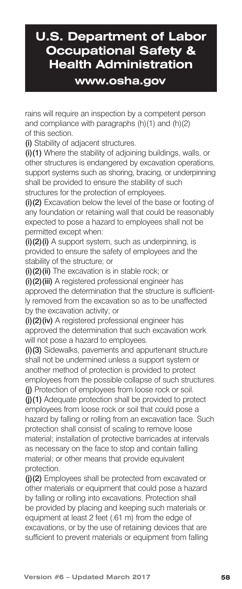rains will require an inspection by a competent person and compliance with paragraphs (h)(1) and (h)(2) of this section.

(i) Stability of adjacent structures.

(i)(1) Where the stability of adjoining buildings, walls, or other structures is endangered by excavation operations, support systems such as shoring, bracing, or underpinning shall be provided to ensure the stability of such structures for the protection of employees.

(i)(2) Excavation below the level of the base or footing of any foundation or retaining wall that could be reasonably expected to pose a hazard to employees shall not be permitted except when:

(i)(2)(i) A support system, such as underpinning, is provided to ensure the safety of employees and the stability of the structure; or

(i)(2)(ii) The excavation is in stable rock; or

(i)(2)(iii) A registered professional engineer has approved the determination that the structure is sufficiently removed from the excavation so as to be unaffected by the excavation activity; or

(i)(2)(iv) A registered professional engineer has approved the determination that such excavation work will not pose a hazard to employees.

(i)(3) Sidewalks, pavements and appurtenant structure shall not be undermined unless a support system or another method of protection is provided to protect employees from the possible collapse of such structures. (j) Protection of employees from loose rock or soil.

(j)(1) Adequate protection shall be provided to protect employees from loose rock or soil that could pose a hazard by falling or rolling from an excavation face. Such protection shall consist of scaling to remove loose material; installation of protective barricades at intervals as necessary on the face to stop and contain falling material; or other means that provide equivalent protection.

(j)(2) Employees shall be protected from excavated or other materials or equipment that could pose a hazard by falling or rolling into excavations. Protection shall be provided by placing and keeping such materials or equipment at least 2 feet (.61 m) from the edge of excavations, or by the use of retaining devices that are sufficient to prevent materials or equipment from falling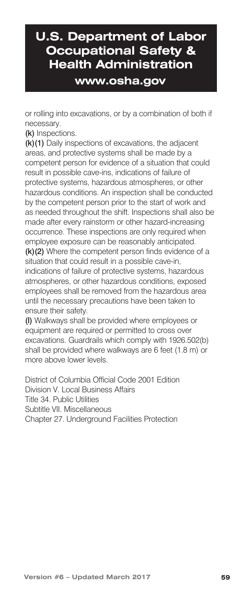or rolling into excavations, or by a combination of both if necessary.

(k) Inspections.

(k)(1) Daily inspections of excavations, the adjacent areas, and protective systems shall be made by a competent person for evidence of a situation that could result in possible cave-ins, indications of failure of protective systems, hazardous atmospheres, or other hazardous conditions. An inspection shall be conducted by the competent person prior to the start of work and as needed throughout the shift. Inspections shall also be made after every rainstorm or other hazard-increasing occurrence. These inspections are only required when employee exposure can be reasonably anticipated. (k)(2) Where the competent person finds evidence of a situation that could result in a possible cave-in, indications of failure of protective systems, hazardous atmospheres, or other hazardous conditions, exposed employees shall be removed from the hazardous area until the necessary precautions have been taken to ensure their safety.

(l) Walkways shall be provided where employees or equipment are required or permitted to cross over excavations. Guardrails which comply with 1926.502(b) shall be provided where walkways are 6 feet (1.8 m) or more above lower levels.

District of Columbia Official Code 2001 Edition Division V. Local Business Affairs Title 34. Public Utilities Subtitle VII. Miscellaneous Chapter 27. Underground Facilities Protection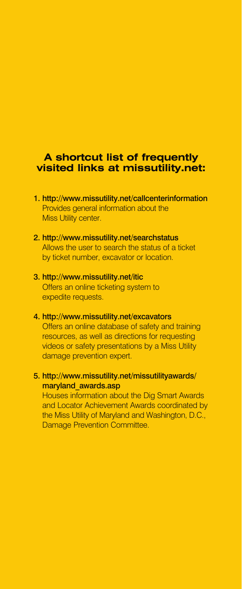### **A shortcut list of frequently visited links at missutility.net:**

- 1. http://www.missutility.net/callcenterinformation Provides general information about the Miss Utility center.
- 2. http://www.missutility.net/searchstatus Allows the user to search the status of a ticket by ticket number, excavator or location.
- 3. http://www.missutility.net/itic Offers an online ticketing system to expedite requests.
- 4. http://www.missutility.net/excavators Offers an online database of safety and training resources, as well as directions for requesting videos or safety presentations by a Miss Utility damage prevention expert.
- 5. http://www.missutility.net/missutilityawards/ maryland\_awards.asp

Houses information about the Dig Smart Awards and Locator Achievement Awards coordinated by the Miss Utility of Maryland and Washington, D.C., Damage Prevention Committee.